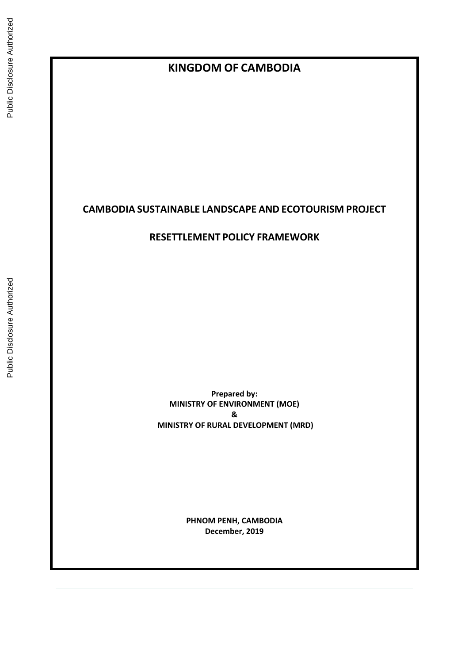# **KINGDOM OF CAMBODIA**

# **CAMBODIA SUSTAINABLE LANDSCAPE AND ECOTOURISM PROJECT**

# **RESETTLEMENT POLICY FRAMEWORK**

**Prepared by: MINISTRY OF ENVIRONMENT (MOE) & MINISTRY OF RURAL DEVELOPMENT (MRD)**

> **PHNOM PENH, CAMBODIA December, 2019**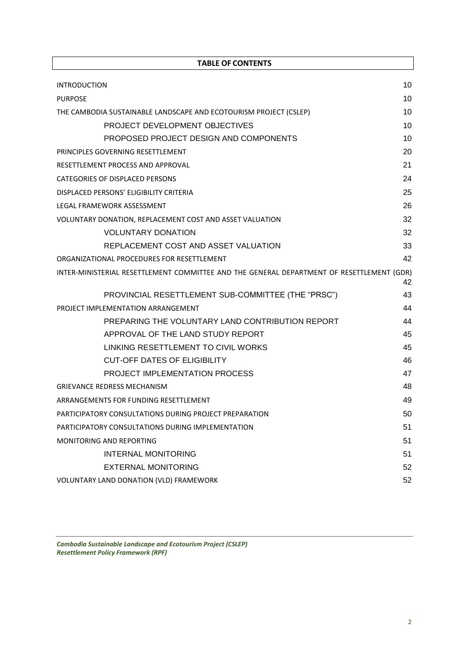| <b>TABLE OF CONTENTS</b>                                                                  |    |
|-------------------------------------------------------------------------------------------|----|
| <b>INTRODUCTION</b>                                                                       | 10 |
| <b>PURPOSE</b>                                                                            | 10 |
| THE CAMBODIA SUSTAINABLE LANDSCAPE AND ECOTOURISM PROJECT (CSLEP)                         | 10 |
| PROJECT DEVELOPMENT OBJECTIVES                                                            | 10 |
| PROPOSED PROJECT DESIGN AND COMPONENTS                                                    | 10 |
| PRINCIPLES GOVERNING RESETTLEMENT                                                         | 20 |
| RESETTLEMENT PROCESS AND APPROVAL                                                         | 21 |
| CATEGORIES OF DISPLACED PERSONS                                                           | 24 |
| DISPLACED PERSONS' ELIGIBILITY CRITERIA                                                   | 25 |
| LEGAL FRAMEWORK ASSESSMENT                                                                | 26 |
| VOLUNTARY DONATION, REPLACEMENT COST AND ASSET VALUATION                                  | 32 |
| <b>VOLUNTARY DONATION</b>                                                                 | 32 |
| REPLACEMENT COST AND ASSET VALUATION                                                      | 33 |
| ORGANIZATIONAL PROCEDURES FOR RESETTLEMENT                                                | 42 |
| INTER-MINISTERIAL RESETTLEMENT COMMITTEE AND THE GENERAL DEPARTMENT OF RESETTLEMENT (GDR) | 42 |
| PROVINCIAL RESETTLEMENT SUB-COMMITTEE (THE "PRSC")                                        | 43 |
| PROJECT IMPLEMENTATION ARRANGEMENT                                                        | 44 |
| PREPARING THE VOLUNTARY LAND CONTRIBUTION REPORT                                          | 44 |
| APPROVAL OF THE LAND STUDY REPORT                                                         | 45 |
| LINKING RESETTLEMENT TO CIVIL WORKS                                                       | 45 |
| <b>CUT-OFF DATES OF ELIGIBILITY</b>                                                       | 46 |
| PROJECT IMPLEMENTATION PROCESS                                                            | 47 |
| <b>GRIEVANCE REDRESS MECHANISM</b>                                                        | 48 |
| ARRANGEMENTS FOR FUNDING RESETTLEMENT                                                     | 49 |
| PARTICIPATORY CONSULTATIONS DURING PROJECT PREPARATION                                    | 50 |
| PARTICIPATORY CONSULTATIONS DURING IMPLEMENTATION                                         | 51 |
| MONITORING AND REPORTING                                                                  | 51 |
| <b>INTERNAL MONITORING</b>                                                                | 51 |
| <b>EXTERNAL MONITORING</b>                                                                | 52 |
| VOLUNTARY LAND DONATION (VLD) FRAMEWORK                                                   | 52 |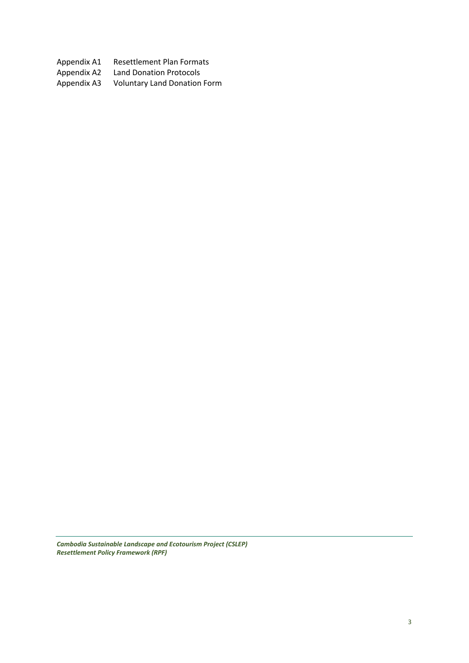Appendix A1 Resettlement Plan Formats<br>Appendix A2 Land Donation Protocols

Appendix A2 Land Donation Protocols<br>Appendix A3 Voluntary Land Donation Voluntary Land Donation Form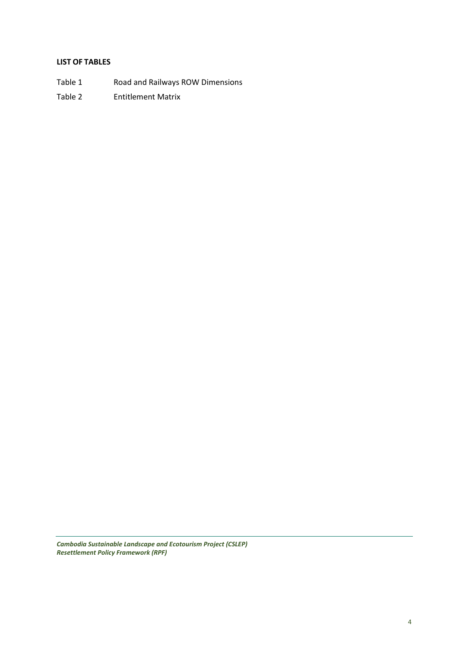#### **LIST OF TABLES**

- Table 1 Road and Railways ROW Dimensions
- Table 2 Entitlement Matrix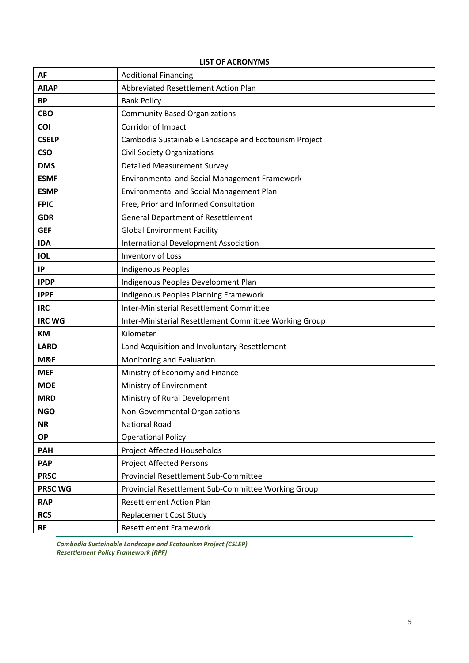| <b>AF</b>      | <b>Additional Financing</b>                            |
|----------------|--------------------------------------------------------|
| <b>ARAP</b>    | Abbreviated Resettlement Action Plan                   |
| <b>BP</b>      | <b>Bank Policy</b>                                     |
| <b>CBO</b>     | <b>Community Based Organizations</b>                   |
| COI            | Corridor of Impact                                     |
| <b>CSELP</b>   | Cambodia Sustainable Landscape and Ecotourism Project  |
| <b>CSO</b>     | <b>Civil Society Organizations</b>                     |
| <b>DMS</b>     | <b>Detailed Measurement Survey</b>                     |
| <b>ESMF</b>    | <b>Environmental and Social Management Framework</b>   |
| <b>ESMP</b>    | <b>Environmental and Social Management Plan</b>        |
| <b>FPIC</b>    | Free, Prior and Informed Consultation                  |
| <b>GDR</b>     | <b>General Department of Resettlement</b>              |
| <b>GEF</b>     | <b>Global Environment Facility</b>                     |
| <b>IDA</b>     | <b>International Development Association</b>           |
| <b>IOL</b>     | Inventory of Loss                                      |
| IP             | <b>Indigenous Peoples</b>                              |
| <b>IPDP</b>    | Indigenous Peoples Development Plan                    |
| <b>IPPF</b>    | Indigenous Peoples Planning Framework                  |
| <b>IRC</b>     | Inter-Ministerial Resettlement Committee               |
| <b>IRC WG</b>  | Inter-Ministerial Resettlement Committee Working Group |
| <b>KM</b>      | Kilometer                                              |
| <b>LARD</b>    | Land Acquisition and Involuntary Resettlement          |
| M&E            | Monitoring and Evaluation                              |
| <b>MEF</b>     | Ministry of Economy and Finance                        |
| <b>MOE</b>     | Ministry of Environment                                |
| <b>MRD</b>     | Ministry of Rural Development                          |
| <b>NGO</b>     | Non-Governmental Organizations                         |
| <b>NR</b>      | <b>National Road</b>                                   |
| <b>OP</b>      | <b>Operational Policy</b>                              |
| <b>PAH</b>     | Project Affected Households                            |
| <b>PAP</b>     | <b>Project Affected Persons</b>                        |
| <b>PRSC</b>    | <b>Provincial Resettlement Sub-Committee</b>           |
| <b>PRSC WG</b> | Provincial Resettlement Sub-Committee Working Group    |
| <b>RAP</b>     | <b>Resettlement Action Plan</b>                        |
| <b>RCS</b>     | <b>Replacement Cost Study</b>                          |
| <b>RF</b>      | <b>Resettlement Framework</b>                          |

### **LIST OF ACRONYMS**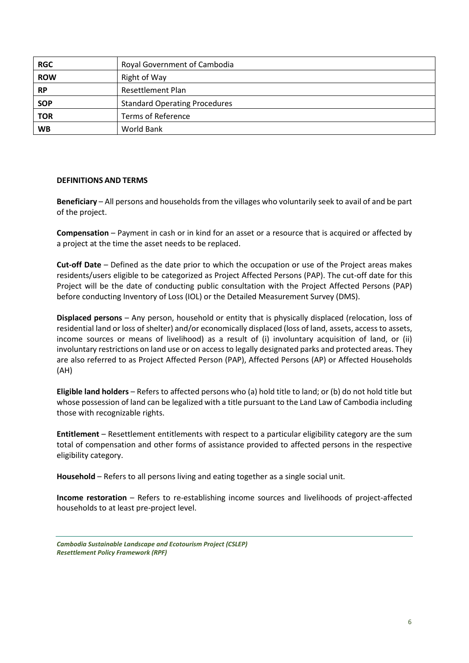| <b>RGC</b> | Royal Government of Cambodia         |
|------------|--------------------------------------|
| <b>ROW</b> | Right of Way                         |
| <b>RP</b>  | <b>Resettlement Plan</b>             |
| <b>SOP</b> | <b>Standard Operating Procedures</b> |
| <b>TOR</b> | <b>Terms of Reference</b>            |
| <b>WB</b>  | World Bank                           |

#### **DEFINITIONS AND TERMS**

**Beneficiary** – All persons and households from the villages who voluntarily seek to avail of and be part of the project.

**Compensation** – Payment in cash or in kind for an asset or a resource that is acquired or affected by a project at the time the asset needs to be replaced.

**Cut-off Date** – Defined as the date prior to which the occupation or use of the Project areas makes residents/users eligible to be categorized as Project Affected Persons (PAP). The cut-off date for this Project will be the date of conducting public consultation with the Project Affected Persons (PAP) before conducting Inventory of Loss (IOL) or the Detailed Measurement Survey (DMS).

**Displaced persons** – Any person, household or entity that is physically displaced (relocation, loss of residential land or loss of shelter) and/or economically displaced (loss of land, assets, access to assets, income sources or means of livelihood) as a result of (i) involuntary acquisition of land, or (ii) involuntary restrictions on land use or on access to legally designated parks and protected areas. They are also referred to as Project Affected Person (PAP), Affected Persons (AP) or Affected Households (AH)

**Eligible land holders** – Refers to affected persons who (a) hold title to land; or (b) do not hold title but whose possession of land can be legalized with a title pursuant to the Land Law of Cambodia including those with recognizable rights.

**Entitlement** – Resettlement entitlements with respect to a particular eligibility category are the sum total of compensation and other forms of assistance provided to affected persons in the respective eligibility category.

**Household** – Refers to all persons living and eating together as a single social unit.

**Income restoration** – Refers to re-establishing income sources and livelihoods of project-affected households to at least pre-project level.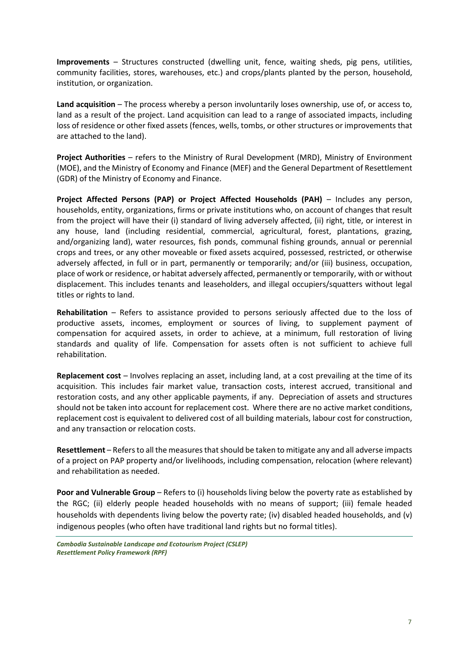**Improvements** – Structures constructed (dwelling unit, fence, waiting sheds, pig pens, utilities, community facilities, stores, warehouses, etc.) and crops/plants planted by the person, household, institution, or organization.

**Land acquisition** – The process whereby a person involuntarily loses ownership, use of, or access to, land as a result of the project. Land acquisition can lead to a range of associated impacts, including loss of residence or other fixed assets (fences, wells, tombs, or other structures or improvements that are attached to the land).

**Project Authorities** – refers to the Ministry of Rural Development (MRD), Ministry of Environment (MOE), and the Ministry of Economy and Finance (MEF) and the General Department of Resettlement (GDR) of the Ministry of Economy and Finance.

**Project Affected Persons (PAP) or Project Affected Households (PAH)** – Includes any person, households, entity, organizations, firms or private institutions who, on account of changes that result from the project will have their (i) standard of living adversely affected, (ii) right, title, or interest in any house, land (including residential, commercial, agricultural, forest, plantations, grazing, and/organizing land), water resources, fish ponds, communal fishing grounds, annual or perennial crops and trees, or any other moveable or fixed assets acquired, possessed, restricted, or otherwise adversely affected, in full or in part, permanently or temporarily; and/or (iii) business, occupation, place of work or residence, or habitat adversely affected, permanently or temporarily, with or without displacement. This includes tenants and leaseholders, and illegal occupiers/squatters without legal titles or rights to land.

**Rehabilitation** – Refers to assistance provided to persons seriously affected due to the loss of productive assets, incomes, employment or sources of living, to supplement payment of compensation for acquired assets, in order to achieve, at a minimum, full restoration of living standards and quality of life. Compensation for assets often is not sufficient to achieve full rehabilitation.

**Replacement cost** – Involves replacing an asset, including land, at a cost prevailing at the time of its acquisition. This includes fair market value, transaction costs, interest accrued, transitional and restoration costs, and any other applicable payments, if any. Depreciation of assets and structures should not be taken into account for replacement cost. Where there are no active market conditions, replacement cost is equivalent to delivered cost of all building materials, labour cost for construction, and any transaction or relocation costs.

**Resettlement** – Refers to all the measures that should be taken to mitigate any and all adverse impacts of a project on PAP property and/or livelihoods, including compensation, relocation (where relevant) and rehabilitation as needed.

**Poor and Vulnerable Group** – Refers to (i) households living below the poverty rate as established by the RGC; (ii) elderly people headed households with no means of support; (iii) female headed households with dependents living below the poverty rate; (iv) disabled headed households, and (v) indigenous peoples (who often have traditional land rights but no formal titles).

*Cambodia Sustainable Landscape and Ecotourism Project (CSLEP) Resettlement Policy Framework (RPF)*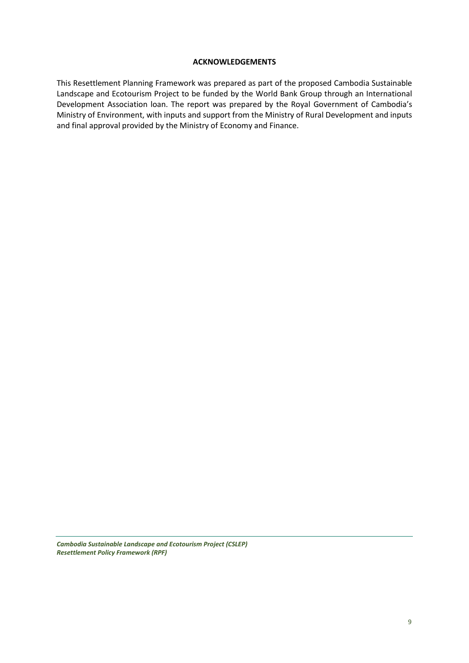#### **ACKNOWLEDGEMENTS**

This Resettlement Planning Framework was prepared as part of the proposed Cambodia Sustainable Landscape and Ecotourism Project to be funded by the World Bank Group through an International Development Association loan. The report was prepared by the Royal Government of Cambodia's Ministry of Environment, with inputs and support from the Ministry of Rural Development and inputs and final approval provided by the Ministry of Economy and Finance.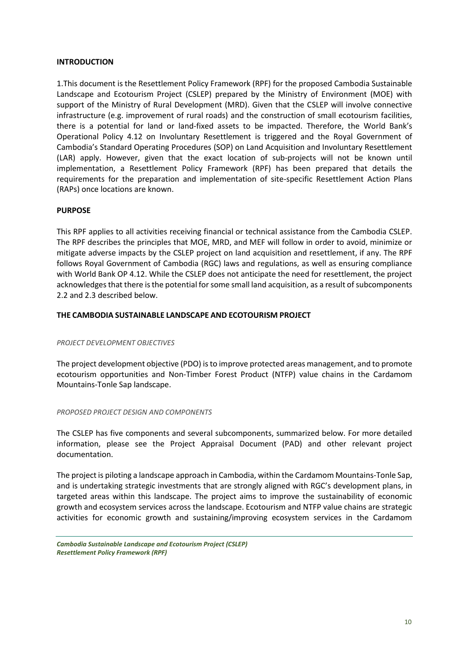#### **INTRODUCTION**

1.This document is the Resettlement Policy Framework (RPF) for the proposed Cambodia Sustainable Landscape and Ecotourism Project (CSLEP) prepared by the Ministry of Environment (MOE) with support of the Ministry of Rural Development (MRD). Given that the CSLEP will involve connective infrastructure (e.g. improvement of rural roads) and the construction of small ecotourism facilities, there is a potential for land or land-fixed assets to be impacted. Therefore, the World Bank's Operational Policy 4.12 on Involuntary Resettlement is triggered and the Royal Government of Cambodia's Standard Operating Procedures (SOP) on Land Acquisition and Involuntary Resettlement (LAR) apply. However, given that the exact location of sub-projects will not be known until implementation, a Resettlement Policy Framework (RPF) has been prepared that details the requirements for the preparation and implementation of site-specific Resettlement Action Plans (RAPs) once locations are known.

#### **PURPOSE**

This RPF applies to all activities receiving financial or technical assistance from the Cambodia CSLEP. The RPF describes the principles that MOE, MRD, and MEF will follow in order to avoid, minimize or mitigate adverse impacts by the CSLEP project on land acquisition and resettlement, if any. The RPF follows Royal Government of Cambodia (RGC) laws and regulations, as well as ensuring compliance with World Bank OP 4.12. While the CSLEP does not anticipate the need for resettlement, the project acknowledges that there is the potential for some small land acquisition, as a result of subcomponents 2.2 and 2.3 described below.

#### **THE CAMBODIA SUSTAINABLE LANDSCAPE AND ECOTOURISM PROJECT**

#### *PROJECT DEVELOPMENT OBJECTIVES*

The project development objective (PDO) is to improve protected areas management, and to promote ecotourism opportunities and Non-Timber Forest Product (NTFP) value chains in the Cardamom Mountains-Tonle Sap landscape.

#### *PROPOSED PROJECT DESIGN AND COMPONENTS*

The CSLEP has five components and several subcomponents, summarized below. For more detailed information, please see the Project Appraisal Document (PAD) and other relevant project documentation.

The project is piloting a landscape approach in Cambodia, within the Cardamom Mountains-Tonle Sap, and is undertaking strategic investments that are strongly aligned with RGC's development plans, in targeted areas within this landscape. The project aims to improve the sustainability of economic growth and ecosystem services across the landscape. Ecotourism and NTFP value chains are strategic activities for economic growth and sustaining/improving ecosystem services in the Cardamom

*Cambodia Sustainable Landscape and Ecotourism Project (CSLEP) Resettlement Policy Framework (RPF)*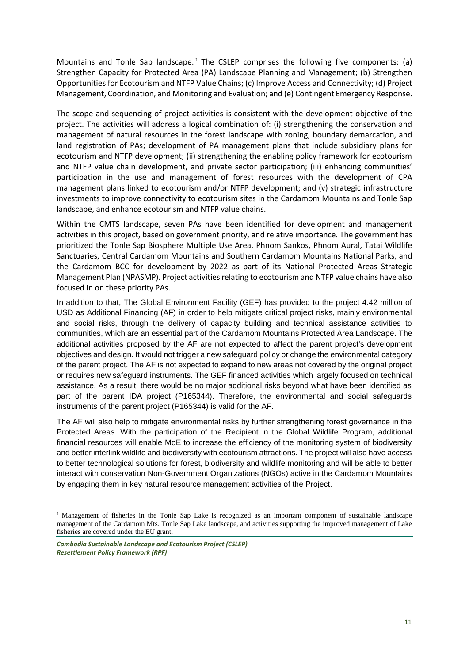Mountains and Tonle Sap landscape.<sup>1</sup> The CSLEP comprises the following five components: (a) Strengthen Capacity for Protected Area (PA) Landscape Planning and Management; (b) Strengthen Opportunities for Ecotourism and NTFP Value Chains; (c) Improve Access and Connectivity; (d) Project Management, Coordination, and Monitoring and Evaluation; and (e) Contingent Emergency Response.

The scope and sequencing of project activities is consistent with the development objective of the project. The activities will address a logical combination of: (i) strengthening the conservation and management of natural resources in the forest landscape with zoning, boundary demarcation, and land registration of PAs; development of PA management plans that include subsidiary plans for ecotourism and NTFP development; (ii) strengthening the enabling policy framework for ecotourism and NTFP value chain development, and private sector participation; (iii) enhancing communities' participation in the use and management of forest resources with the development of CPA management plans linked to ecotourism and/or NTFP development; and (v) strategic infrastructure investments to improve connectivity to ecotourism sites in the Cardamom Mountains and Tonle Sap landscape, and enhance ecotourism and NTFP value chains.

Within the CMTS landscape, seven PAs have been identified for development and management activities in this project, based on government priority, and relative importance. The government has prioritized the Tonle Sap Biosphere Multiple Use Area, Phnom Sankos, Phnom Aural, Tatai Wildlife Sanctuaries, Central Cardamom Mountains and Southern Cardamom Mountains National Parks, and the Cardamom BCC for development by 2022 as part of its National Protected Areas Strategic Management Plan (NPASMP). Project activities relating to ecotourism and NTFP value chains have also focused in on these priority PAs.

In addition to that, The Global Environment Facility (GEF) has provided to the project 4.42 million of USD as Additional Financing (AF) in order to help mitigate critical project risks, mainly environmental and social risks, through the delivery of capacity building and technical assistance activities to communities, which are an essential part of the Cardamom Mountains Protected Area Landscape. The additional activities proposed by the AF are not expected to affect the parent project's development objectives and design. It would not trigger a new safeguard policy or change the environmental category of the parent project. The AF is not expected to expand to new areas not covered by the original project or requires new safeguard instruments. The GEF financed activities which largely focused on technical assistance. As a result, there would be no major additional risks beyond what have been identified as part of the parent IDA project (P165344). Therefore, the environmental and social safeguards instruments of the parent project (P165344) is valid for the AF.

The AF will also help to mitigate environmental risks by further strengthening forest governance in the Protected Areas. With the participation of the Recipient in the Global Wildlife Program, additional financial resources will enable MoE to increase the efficiency of the monitoring system of biodiversity and better interlink wildlife and biodiversity with ecotourism attractions. The project will also have access to better technological solutions for forest, biodiversity and wildlife monitoring and will be able to better interact with conservation Non-Government Organizations (NGOs) active in the Cardamom Mountains by engaging them in key natural resource management activities of the Project.

-

<sup>&</sup>lt;sup>1</sup> Management of fisheries in the Tonle Sap Lake is recognized as an important component of sustainable landscape management of the Cardamom Mts. Tonle Sap Lake landscape, and activities supporting the improved management of Lake fisheries are covered under the EU grant.

*Cambodia Sustainable Landscape and Ecotourism Project (CSLEP) Resettlement Policy Framework (RPF)*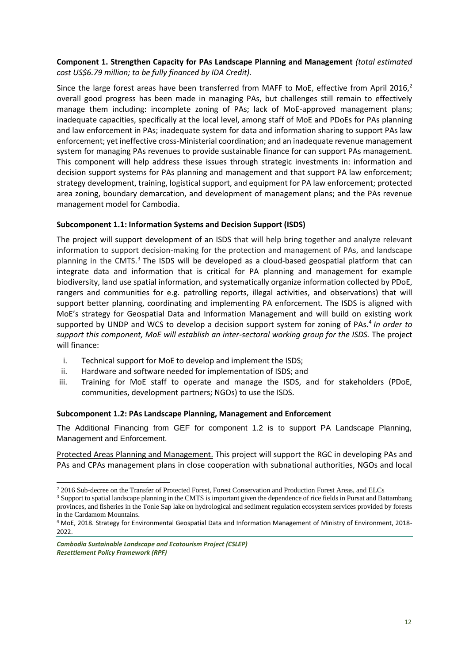### **Component 1. Strengthen Capacity for PAs Landscape Planning and Management** *(total estimated cost US\$6.79 million; to be fully financed by IDA Credit).*

Since the large forest areas have been transferred from MAFF to MoE, effective from April 2016, $2$ overall good progress has been made in managing PAs, but challenges still remain to effectively manage them including: incomplete zoning of PAs; lack of MoE-approved management plans; inadequate capacities, specifically at the local level, among staff of MoE and PDoEs for PAs planning and law enforcement in PAs; inadequate system for data and information sharing to support PAs law enforcement; yet ineffective cross-Ministerial coordination; and an inadequate revenue management system for managing PAs revenues to provide sustainable finance for can support PAs management. This component will help address these issues through strategic investments in: information and decision support systems for PAs planning and management and that support PA law enforcement; strategy development, training, logistical support, and equipment for PA law enforcement; protected area zoning, boundary demarcation, and development of management plans; and the PAs revenue management model for Cambodia.

### **Subcomponent 1.1: Information Systems and Decision Support (ISDS)**

The project will support development of an ISDS that will help bring together and analyze relevant information to support decision-making for the protection and management of PAs, and landscape planning in the CMTS. $3$  The ISDS will be developed as a cloud-based geospatial platform that can integrate data and information that is critical for PA planning and management for example biodiversity, land use spatial information, and systematically organize information collected by PDoE, rangers and communities for e.g. patrolling reports, illegal activities, and observations) that will support better planning, coordinating and implementing PA enforcement. The ISDS is aligned with MoE's strategy for Geospatial Data and Information Management and will build on existing work supported by UNDP and WCS to develop a decision support system for zoning of PAs.<sup>4</sup> In order to *support this component, MoE will establish an inter-sectoral working group for the ISDS.* The project will finance:

- i. Technical support for MoE to develop and implement the ISDS;
- ii. Hardware and software needed for implementation of ISDS; and
- iii. Training for MoE staff to operate and manage the ISDS, and for stakeholders (PDoE, communities, development partners; NGOs) to use the ISDS.

#### **Subcomponent 1.2: PAs Landscape Planning, Management and Enforcement**

The Additional Financing from GEF for component 1.2 is to support PA Landscape Planning, Management and Enforcement.

Protected Areas Planning and Management. This project will support the RGC in developing PAs and PAs and CPAs management plans in close cooperation with subnational authorities, NGOs and local

-

<sup>&</sup>lt;sup>2</sup> 2016 Sub-decree on the Transfer of Protected Forest, Forest Conservation and Production Forest Areas, and ELCs

<sup>&</sup>lt;sup>3</sup> Support to spatial landscape planning in the CMTS is important given the dependence of rice fields in Pursat and Battambang provinces, and fisheries in the Tonle Sap lake on hydrological and sediment regulation ecosystem services provided by forests in the Cardamom Mountains.

<sup>4</sup> MoE, 2018. Strategy for Environmental Geospatial Data and Information Management of Ministry of Environment, 2018- 2022.

*Cambodia Sustainable Landscape and Ecotourism Project (CSLEP) Resettlement Policy Framework (RPF)*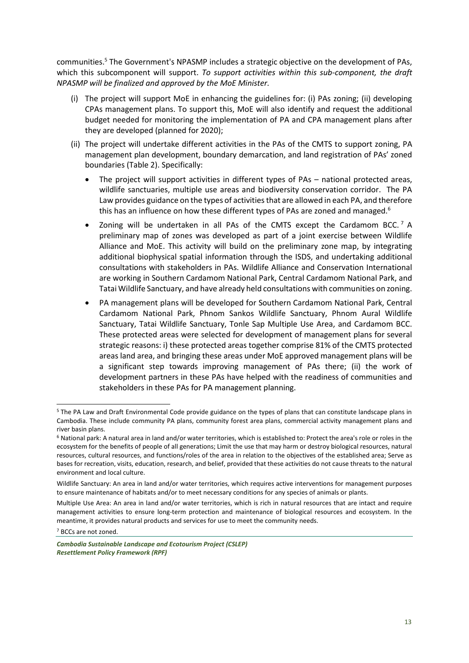communities.<sup>5</sup> The Government's NPASMP includes a strategic objective on the development of PAs, which this subcomponent will support. *To support activities within this sub-component, the draft NPASMP will be finalized and approved by the MoE Minister.*

- (i) The project will support MoE in enhancing the guidelines for: (i) PAs zoning; (ii) developing CPAs management plans. To support this, MoE will also identify and request the additional budget needed for monitoring the implementation of PA and CPA management plans after they are developed (planned for 2020);
- (ii) The project will undertake different activities in the PAs of the CMTS to support zoning, PA management plan development, boundary demarcation, and land registration of PAs' zoned boundaries (Table 2). Specifically:
	- The project will support activities in different types of PAs national protected areas, wildlife sanctuaries, multiple use areas and biodiversity conservation corridor. The PA Law provides guidance on the types of activities that are allowed in each PA, and therefore this has an influence on how these different types of PAs are zoned and managed.<sup>6</sup>
	- Zoning will be undertaken in all PAs of the CMTS except the Cardamom BCC.<sup>7</sup> A preliminary map of zones was developed as part of a joint exercise between Wildlife Alliance and MoE. This activity will build on the preliminary zone map, by integrating additional biophysical spatial information through the ISDS, and undertaking additional consultations with stakeholders in PAs. Wildlife Alliance and Conservation International are working in Southern Cardamom National Park, Central Cardamom National Park, and Tatai Wildlife Sanctuary, and have already held consultations with communities on zoning.
	- PA management plans will be developed for Southern Cardamom National Park, Central Cardamom National Park, Phnom Sankos Wildlife Sanctuary, Phnom Aural Wildlife Sanctuary, Tatai Wildlife Sanctuary, Tonle Sap Multiple Use Area, and Cardamom BCC. These protected areas were selected for development of management plans for several strategic reasons: i) these protected areas together comprise 81% of the CMTS protected areas land area, and bringing these areas under MoE approved management plans will be a significant step towards improving management of PAs there; (ii) the work of development partners in these PAs have helped with the readiness of communities and stakeholders in these PAs for PA management planning.

<sup>7</sup> BCCs are not zoned.

1

<sup>&</sup>lt;sup>5</sup> The PA Law and Draft Environmental Code provide guidance on the types of plans that can constitute landscape plans in Cambodia. These include community PA plans, community forest area plans, commercial activity management plans and river basin plans.

<sup>6</sup> National park: A natural area in land and/or water territories, which is established to: Protect the area's role or roles in the ecosystem for the benefits of people of all generations; Limit the use that may harm or destroy biological resources, natural resources, cultural resources, and functions/roles of the area in relation to the objectives of the established area; Serve as bases for recreation, visits, education, research, and belief, provided that these activities do not cause threats to the natural environment and local culture.

Wildlife Sanctuary: An area in land and/or water territories, which requires active interventions for management purposes to ensure maintenance of habitats and/or to meet necessary conditions for any species of animals or plants.

Multiple Use Area: An area in land and/or water territories, which is rich in natural resources that are intact and require management activities to ensure long-term protection and maintenance of biological resources and ecosystem. In the meantime, it provides natural products and services for use to meet the community needs.

*Cambodia Sustainable Landscape and Ecotourism Project (CSLEP) Resettlement Policy Framework (RPF)*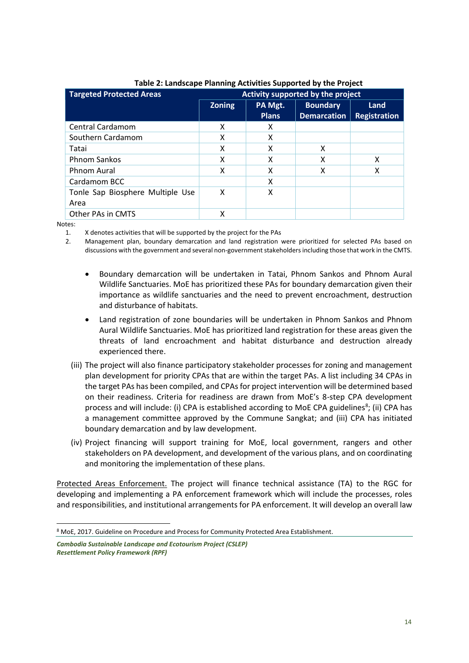| <b>Targeted Protected Areas</b>  | Activity supported by the project |              |                    |                     |
|----------------------------------|-----------------------------------|--------------|--------------------|---------------------|
|                                  | <b>Zoning</b>                     | PA Mgt.      | <b>Boundary</b>    | Land                |
|                                  |                                   | <b>Plans</b> | <b>Demarcation</b> | <b>Registration</b> |
| Central Cardamom                 | x                                 | x            |                    |                     |
| Southern Cardamom                | x                                 | x            |                    |                     |
| Tatai                            | x                                 | x            | X                  |                     |
| <b>Phnom Sankos</b>              | x                                 | x            | x                  | x                   |
| Phnom Aural                      | x                                 | x            | x                  | x                   |
| Cardamom BCC                     |                                   | x            |                    |                     |
| Tonle Sap Biosphere Multiple Use | X                                 | x            |                    |                     |
| Area                             |                                   |              |                    |                     |
| Other PAs in CMTS                | x                                 |              |                    |                     |

### **Table 2: Landscape Planning Activities Supported by the Project**

Notes:

1

1. X denotes activities that will be supported by the project for the PAs

2. Management plan, boundary demarcation and land registration were prioritized for selected PAs based on discussions with the government and several non-government stakeholders including those that work in the CMTS.

- Boundary demarcation will be undertaken in Tatai, Phnom Sankos and Phnom Aural Wildlife Sanctuaries. MoE has prioritized these PAs for boundary demarcation given their importance as wildlife sanctuaries and the need to prevent encroachment, destruction and disturbance of habitats.
- Land registration of zone boundaries will be undertaken in Phnom Sankos and Phnom Aural Wildlife Sanctuaries. MoE has prioritized land registration for these areas given the threats of land encroachment and habitat disturbance and destruction already experienced there.
- (iii) The project will also finance participatory stakeholder processes for zoning and management plan development for priority CPAs that are within the target PAs. A list including 34 CPAs in the target PAs has been compiled, and CPAs for project intervention will be determined based on their readiness. Criteria for readiness are drawn from MoE's 8-step CPA development process and will include: (i) CPA is established according to MoE CPA guidelines<sup>8</sup>; (ii) CPA has a management committee approved by the Commune Sangkat; and (iii) CPA has initiated boundary demarcation and by law development.
- (iv) Project financing will support training for MoE, local government, rangers and other stakeholders on PA development, and development of the various plans, and on coordinating and monitoring the implementation of these plans.

Protected Areas Enforcement. The project will finance technical assistance (TA) to the RGC for developing and implementing a PA enforcement framework which will include the processes, roles and responsibilities, and institutional arrangements for PA enforcement. It will develop an overall law

<sup>8</sup> MoE, 2017. Guideline on Procedure and Process for Community Protected Area Establishment.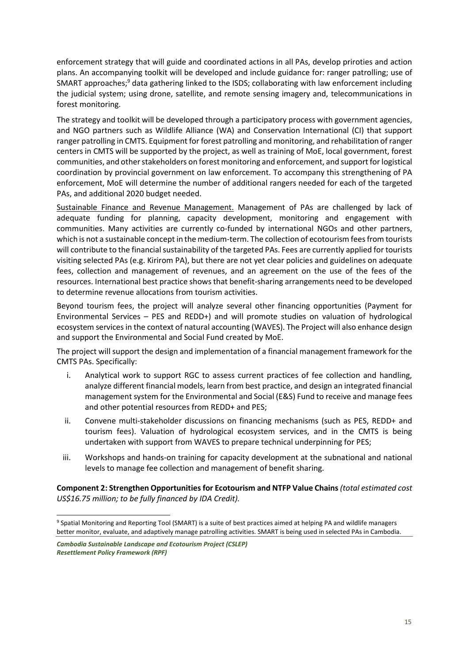enforcement strategy that will guide and coordinated actions in all PAs, develop priroties and action plans. An accompanying toolkit will be developed and include guidance for: ranger patrolling; use of SMART approaches; $9$  data gathering linked to the ISDS; collaborating with law enforcement including the judicial system; using drone, satellite, and remote sensing imagery and, telecommunications in forest monitoring.

The strategy and toolkit will be developed through a participatory process with government agencies, and NGO partners such as Wildlife Alliance (WA) and Conservation International (CI) that support ranger patrolling in CMTS. Equipment for forest patrolling and monitoring, and rehabilitation of ranger centers in CMTS will be supported by the project, as well as training of MoE, local government, forest communities, and other stakeholders on forest monitoring and enforcement, and support for logistical coordination by provincial government on law enforcement. To accompany this strengthening of PA enforcement, MoE will determine the number of additional rangers needed for each of the targeted PAs, and additional 2020 budget needed.

Sustainable Finance and Revenue Management. Management of PAs are challenged by lack of adequate funding for planning, capacity development, monitoring and engagement with communities. Many activities are currently co-funded by international NGOs and other partners, which is not a sustainable concept in the medium-term. The collection of ecotourism fees from tourists will contribute to the financial sustainability of the targeted PAs. Fees are currently applied for tourists visiting selected PAs (e.g. Kirirom PA), but there are not yet clear policies and guidelines on adequate fees, collection and management of revenues, and an agreement on the use of the fees of the resources. International best practice shows that benefit-sharing arrangements need to be developed to determine revenue allocations from tourism activities.

Beyond tourism fees, the project will analyze several other financing opportunities (Payment for Environmental Services – PES and REDD+) and will promote studies on valuation of hydrological ecosystem services in the context of natural accounting (WAVES). The Project will also enhance design and support the Environmental and Social Fund created by MoE.

The project will support the design and implementation of a financial management framework for the CMTS PAs. Specifically:

- i. Analytical work to support RGC to assess current practices of fee collection and handling, analyze different financial models, learn from best practice, and design an integrated financial management system for the Environmental and Social (E&S) Fund to receive and manage fees and other potential resources from REDD+ and PES;
- ii. Convene multi-stakeholder discussions on financing mechanisms (such as PES, REDD+ and tourism fees). Valuation of hydrological ecosystem services, and in the CMTS is being undertaken with support from WAVES to prepare technical underpinning for PES;
- iii. Workshops and hands-on training for capacity development at the subnational and national levels to manage fee collection and management of benefit sharing.

**Component 2: Strengthen Opportunities for Ecotourism and NTFP Value Chains** *(total estimated cost US\$16.75 million; to be fully financed by IDA Credit).*

-

<sup>9</sup> Spatial Monitoring and Reporting Tool (SMART) is a suite of best practices aimed at helping PA and wildlife managers better monitor, evaluate, and adaptively manage patrolling activities. SMART is being used in selected PAs in Cambodia.

*Cambodia Sustainable Landscape and Ecotourism Project (CSLEP) Resettlement Policy Framework (RPF)*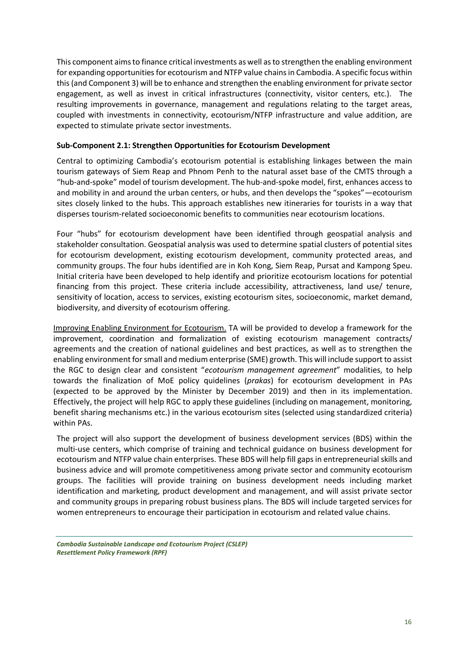This component aims to finance critical investments as well as to strengthen the enabling environment for expanding opportunities for ecotourism and NTFP value chains in Cambodia. A specific focus within this (and Component 3) will be to enhance and strengthen the enabling environment for private sector engagement, as well as invest in critical infrastructures (connectivity, visitor centers, etc.). The resulting improvements in governance, management and regulations relating to the target areas, coupled with investments in connectivity, ecotourism/NTFP infrastructure and value addition, are expected to stimulate private sector investments.

### **Sub-Component 2.1: Strengthen Opportunities for Ecotourism Development**

Central to optimizing Cambodia's ecotourism potential is establishing linkages between the main tourism gateways of Siem Reap and Phnom Penh to the natural asset base of the CMTS through a "hub-and-spoke" model of tourism development. The hub-and-spoke model, first, enhances access to and mobility in and around the urban centers, or hubs, and then develops the "spokes"—ecotourism sites closely linked to the hubs. This approach establishes new itineraries for tourists in a way that disperses tourism-related socioeconomic benefits to communities near ecotourism locations.

Four "hubs" for ecotourism development have been identified through geospatial analysis and stakeholder consultation. Geospatial analysis was used to determine spatial clusters of potential sites for ecotourism development, existing ecotourism development, community protected areas, and community groups. The four hubs identified are in Koh Kong, Siem Reap, Pursat and Kampong Speu. Initial criteria have been developed to help identify and prioritize ecotourism locations for potential financing from this project. These criteria include accessibility, attractiveness, land use/ tenure, sensitivity of location, access to services, existing ecotourism sites, socioeconomic, market demand, biodiversity, and diversity of ecotourism offering.

Improving Enabling Environment for Ecotourism. TA will be provided to develop a framework for the improvement, coordination and formalization of existing ecotourism management contracts/ agreements and the creation of national guidelines and best practices, as well as to strengthen the enabling environment for small and medium enterprise (SME) growth. This will include support to assist the RGC to design clear and consistent "*ecotourism management agreement*" modalities, to help towards the finalization of MoE policy quidelines (*prakas*) for ecotourism development in PAs (expected to be approved by the Minister by December 2019) and then in its implementation. Effectively, the project will help RGC to apply these guidelines (including on management, monitoring, benefit sharing mechanisms etc.) in the various ecotourism sites (selected using standardized criteria) within PAs.

The project will also support the development of business development services (BDS) within the multi-use centers, which comprise of training and technical guidance on business development for ecotourism and NTFP value chain enterprises. These BDS will help fill gaps in entrepreneurial skills and business advice and will promote competitiveness among private sector and community ecotourism groups. The facilities will provide training on business development needs including market identification and marketing, product development and management, and will assist private sector and community groups in preparing robust business plans. The BDS will include targeted services for women entrepreneurs to encourage their participation in ecotourism and related value chains.

*Cambodia Sustainable Landscape and Ecotourism Project (CSLEP) Resettlement Policy Framework (RPF)*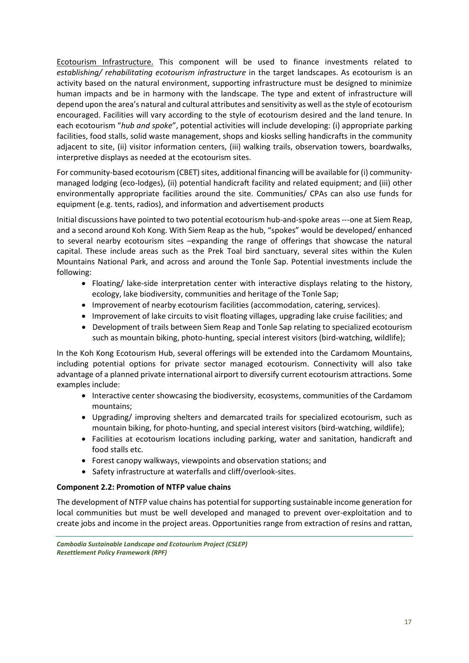Ecotourism Infrastructure. This component will be used to finance investments related to *establishing/ rehabilitating ecotourism infrastructure* in the target landscapes. As ecotourism is an activity based on the natural environment, supporting infrastructure must be designed to minimize human impacts and be in harmony with the landscape. The type and extent of infrastructure will depend upon the area's natural and cultural attributes and sensitivity as well as the style of ecotourism encouraged. Facilities will vary according to the style of ecotourism desired and the land tenure. In each ecotourism "*hub and spoke*", potential activities will include developing: (i) appropriate parking facilities, food stalls, solid waste management, shops and kiosks selling handicrafts in the community adjacent to site, (ii) visitor information centers, (iii) walking trails, observation towers, boardwalks, interpretive displays as needed at the ecotourism sites.

For community-based ecotourism (CBET) sites, additional financing will be available for (i) communitymanaged lodging (eco-lodges), (ii) potential handicraft facility and related equipment; and (iii) other environmentally appropriate facilities around the site. Communities/ CPAs can also use funds for equipment (e.g. tents, radios), and information and advertisement products

Initial discussions have pointed to two potential ecotourism hub-and-spoke areas ---one at Siem Reap, and a second around Koh Kong. With Siem Reap as the hub, "spokes" would be developed/ enhanced to several nearby ecotourism sites –expanding the range of offerings that showcase the natural capital. These include areas such as the Prek Toal bird sanctuary, several sites within the Kulen Mountains National Park, and across and around the Tonle Sap. Potential investments include the following:

- Floating/ lake-side interpretation center with interactive displays relating to the history, ecology, lake biodiversity, communities and heritage of the Tonle Sap;
- Improvement of nearby ecotourism facilities (accommodation, catering, services).
- Improvement of lake circuits to visit floating villages, upgrading lake cruise facilities; and
- Development of trails between Siem Reap and Tonle Sap relating to specialized ecotourism such as mountain biking, photo-hunting, special interest visitors (bird-watching, wildlife);

In the Koh Kong Ecotourism Hub, several offerings will be extended into the Cardamom Mountains, including potential options for private sector managed ecotourism. Connectivity will also take advantage of a planned private international airport to diversify current ecotourism attractions. Some examples include:

- Interactive center showcasing the biodiversity, ecosystems, communities of the Cardamom mountains;
- Upgrading/ improving shelters and demarcated trails for specialized ecotourism, such as mountain biking, for photo-hunting, and special interest visitors (bird-watching, wildlife);
- Facilities at ecotourism locations including parking, water and sanitation, handicraft and food stalls etc.
- Forest canopy walkways, viewpoints and observation stations; and
- Safety infrastructure at waterfalls and cliff/overlook-sites.

### **Component 2.2: Promotion of NTFP value chains**

The development of NTFP value chains has potential for supporting sustainable income generation for local communities but must be well developed and managed to prevent over-exploitation and to create jobs and income in the project areas. Opportunities range from extraction of resins and rattan,

*Cambodia Sustainable Landscape and Ecotourism Project (CSLEP) Resettlement Policy Framework (RPF)*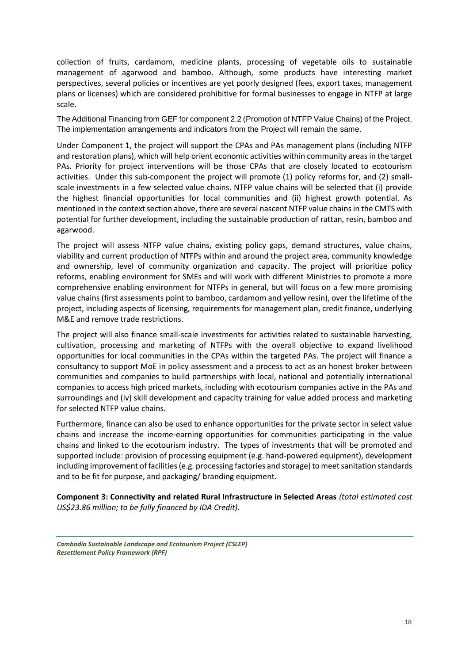collection of fruits, cardamom, medicine plants, processing of vegetable oils to sustainable management of agarwood and bamboo. Although, some products have interesting market perspectives, several policies or incentives are yet poorly designed (fees, export taxes, management plans or licenses) which are considered prohibitive for formal businesses to engage in NTFP at large scale.

The Additional Financing from GEF for component 2.2 (Promotion of NTFP Value Chains) of the Project. The implementation arrangements and indicators from the Project will remain the same.

Under Component 1, the project will support the CPAs and PAs management plans (including NTFP and restoration plans), which will help orient economic activities within community areas in the target PAs. Priority for project interventions will be those CPAs that are closely located to ecotourism activities. Under this sub-component the project will promote (1) policy reforms for, and (2) smallscale investments in a few selected value chains. NTFP value chains will be selected that (i) provide the highest financial opportunities for local communities and (ii) highest growth potential. As mentioned in the context section above, there are several nascent NTFP value chains in the CMTS with potential for further development, including the sustainable production of rattan, resin, bamboo and agarwood.

The project will assess NTFP value chains, existing policy gaps, demand structures, value chains, viability and current production of NTFPs within and around the project area, community knowledge and ownership, level of community organization and capacity. The project will prioritize policy reforms, enabling environment for SMEs and will work with different Ministries to promote a more comprehensive enabling environment for NTFPs in general, but will focus on a few more promising value chains (first assessments point to bamboo, cardamom and yellow resin), over the lifetime of the project, including aspects of licensing, requirements for management plan, credit finance, underlying M&E and remove trade restrictions.

The project will also finance small-scale investments for activities related to sustainable harvesting, cultivation, processing and marketing of NTFPs with the overall objective to expand livelihood opportunities for local communities in the CPAs within the targeted PAs. The project will finance a consultancy to support MoE in policy assessment and a process to act as an honest broker between communities and companies to build partnerships with local, national and potentially international companies to access high priced markets, including with ecotourism companies active in the PAs and surroundings and (iv) skill development and capacity training for value added process and marketing for selected NTFP value chains.

Furthermore, finance can also be used to enhance opportunities for the private sector in select value chains and increase the income-earning opportunities for communities participating in the value chains and linked to the ecotourism industry. The types of investments that will be promoted and supported include: provision of processing equipment (e.g. hand-powered equipment), development including improvement of facilities (e.g. processing factories and storage) to meet sanitation standards and to be fit for purpose, and packaging/ branding equipment.

**Component 3: Connectivity and related Rural Infrastructure in Selected Areas** *(total estimated cost US\$23.86 million; to be fully financed by IDA Credit).*

*Cambodia Sustainable Landscape and Ecotourism Project (CSLEP) Resettlement Policy Framework (RPF)*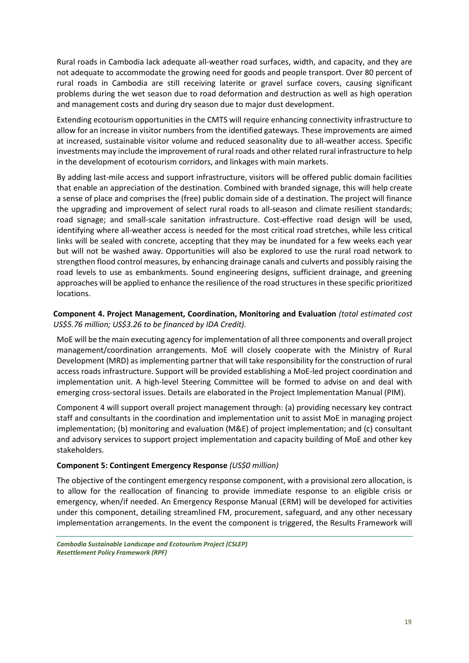Rural roads in Cambodia lack adequate all-weather road surfaces, width, and capacity, and they are not adequate to accommodate the growing need for goods and people transport. Over 80 percent of rural roads in Cambodia are still receiving laterite or gravel surface covers, causing significant problems during the wet season due to road deformation and destruction as well as high operation and management costs and during dry season due to major dust development.

Extending ecotourism opportunities in the CMTS will require enhancing connectivity infrastructure to allow for an increase in visitor numbers from the identified gateways. These improvements are aimed at increased, sustainable visitor volume and reduced seasonality due to all-weather access. Specific investments may include the improvement of rural roads and other related rural infrastructure to help in the development of ecotourism corridors, and linkages with main markets.

By adding last-mile access and support infrastructure, visitors will be offered public domain facilities that enable an appreciation of the destination. Combined with branded signage, this will help create a sense of place and comprises the (free) public domain side of a destination. The project will finance the upgrading and improvement of select rural roads to all-season and climate resilient standards; road signage; and small-scale sanitation infrastructure. Cost-effective road design will be used, identifying where all-weather access is needed for the most critical road stretches, while less critical links will be sealed with concrete, accepting that they may be inundated for a few weeks each year but will not be washed away. Opportunities will also be explored to use the rural road network to strengthen flood control measures, by enhancing drainage canals and culverts and possibly raising the road levels to use as embankments. Sound engineering designs, sufficient drainage, and greening approaches will be applied to enhance the resilience of the road structures in these specific prioritized locations.

### **Component 4. Project Management, Coordination, Monitoring and Evaluation** *(total estimated cost US\$5.76 million; US\$3.26 to be financed by IDA Credit).*

MoE will be the main executing agency for implementation of all three components and overall project management/coordination arrangements. MoE will closely cooperate with the Ministry of Rural Development (MRD) as implementing partner that will take responsibility for the construction of rural access roads infrastructure. Support will be provided establishing a MoE-led project coordination and implementation unit. A high-level Steering Committee will be formed to advise on and deal with emerging cross-sectoral issues. Details are elaborated in the Project Implementation Manual (PIM).

Component 4 will support overall project management through: (a) providing necessary key contract staff and consultants in the coordination and implementation unit to assist MoE in managing project implementation; (b) monitoring and evaluation (M&E) of project implementation; and (c) consultant and advisory services to support project implementation and capacity building of MoE and other key stakeholders.

#### **Component 5: Contingent Emergency Response** *(US\$0 million)*

The objective of the contingent emergency response component, with a provisional zero allocation, is to allow for the reallocation of financing to provide immediate response to an eligible crisis or emergency, when/if needed. An Emergency Response Manual (ERM) will be developed for activities under this component, detailing streamlined FM, procurement, safeguard, and any other necessary implementation arrangements. In the event the component is triggered, the Results Framework will

*Cambodia Sustainable Landscape and Ecotourism Project (CSLEP) Resettlement Policy Framework (RPF)*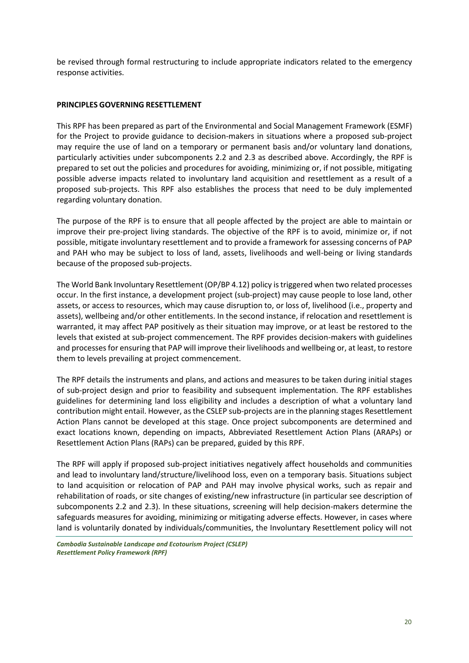be revised through formal restructuring to include appropriate indicators related to the emergency response activities.

#### **PRINCIPLES GOVERNING RESETTLEMENT**

This RPF has been prepared as part of the Environmental and Social Management Framework (ESMF) for the Project to provide guidance to decision-makers in situations where a proposed sub-project may require the use of land on a temporary or permanent basis and/or voluntary land donations, particularly activities under subcomponents 2.2 and 2.3 as described above. Accordingly, the RPF is prepared to set out the policies and procedures for avoiding, minimizing or, if not possible, mitigating possible adverse impacts related to involuntary land acquisition and resettlement as a result of a proposed sub-projects. This RPF also establishes the process that need to be duly implemented regarding voluntary donation.

The purpose of the RPF is to ensure that all people affected by the project are able to maintain or improve their pre-project living standards. The objective of the RPF is to avoid, minimize or, if not possible, mitigate involuntary resettlement and to provide a framework for assessing concerns of PAP and PAH who may be subject to loss of land, assets, livelihoods and well-being or living standards because of the proposed sub-projects.

The World Bank Involuntary Resettlement (OP/BP 4.12) policy is triggered when two related processes occur. In the first instance, a development project (sub-project) may cause people to lose land, other assets, or access to resources, which may cause disruption to, or loss of, livelihood (i.e., property and assets), wellbeing and/or other entitlements. In the second instance, if relocation and resettlement is warranted, it may affect PAP positively as their situation may improve, or at least be restored to the levels that existed at sub-project commencement. The RPF provides decision-makers with guidelines and processes for ensuring that PAP will improve their livelihoods and wellbeing or, at least, to restore them to levels prevailing at project commencement.

The RPF details the instruments and plans, and actions and measures to be taken during initial stages of sub-project design and prior to feasibility and subsequent implementation. The RPF establishes guidelines for determining land loss eligibility and includes a description of what a voluntary land contribution might entail. However, as the CSLEP sub-projects are in the planning stages Resettlement Action Plans cannot be developed at this stage. Once project subcomponents are determined and exact locations known, depending on impacts, Abbreviated Resettlement Action Plans (ARAPs) or Resettlement Action Plans (RAPs) can be prepared, guided by this RPF.

The RPF will apply if proposed sub-project initiatives negatively affect households and communities and lead to involuntary land/structure/livelihood loss, even on a temporary basis. Situations subject to land acquisition or relocation of PAP and PAH may involve physical works, such as repair and rehabilitation of roads, or site changes of existing/new infrastructure (in particular see description of subcomponents 2.2 and 2.3). In these situations, screening will help decision-makers determine the safeguards measures for avoiding, minimizing or mitigating adverse effects. However, in cases where land is voluntarily donated by individuals/communities, the Involuntary Resettlement policy will not

*Cambodia Sustainable Landscape and Ecotourism Project (CSLEP) Resettlement Policy Framework (RPF)*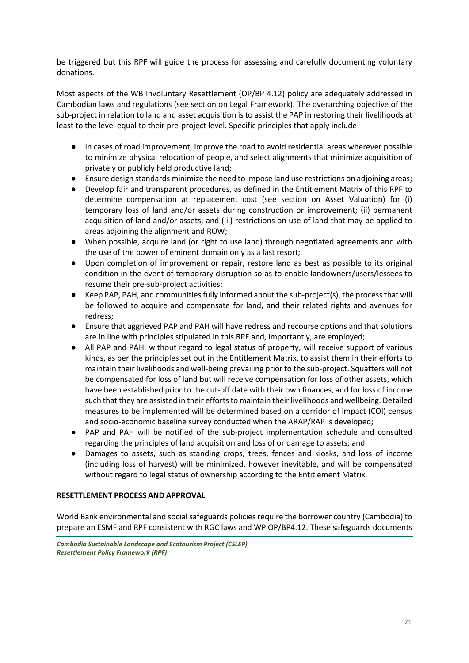be triggered but this RPF will guide the process for assessing and carefully documenting voluntary donations.

Most aspects of the WB Involuntary Resettlement (OP/BP 4.12) policy are adequately addressed in Cambodian laws and regulations (see section on Legal Framework). The overarching objective of the sub-project in relation to land and asset acquisition is to assist the PAP in restoring their livelihoods at least to the level equal to their pre-project level. Specific principles that apply include:

- In cases of road improvement, improve the road to avoid residential areas wherever possible to minimize physical relocation of people, and select alignments that minimize acquisition of privately or publicly held productive land;
- Ensure design standards minimize the need to impose land use restrictions on adjoining areas;
- Develop fair and transparent procedures, as defined in the Entitlement Matrix of this RPF to determine compensation at replacement cost (see section on Asset Valuation) for (i) temporary loss of land and/or assets during construction or improvement; (ii) permanent acquisition of land and/or assets; and (iii) restrictions on use of land that may be applied to areas adjoining the alignment and ROW;
- When possible, acquire land (or right to use land) through negotiated agreements and with the use of the power of eminent domain only as a last resort;
- Upon completion of improvement or repair, restore land as best as possible to its original condition in the event of temporary disruption so as to enable landowners/users/lessees to resume their pre-sub-project activities;
- Keep PAP, PAH, and communities fully informed about the sub-project(s), the process that will be followed to acquire and compensate for land, and their related rights and avenues for redress;
- Ensure that aggrieved PAP and PAH will have redress and recourse options and that solutions are in line with principles stipulated in this RPF and, importantly, are employed;
- All PAP and PAH, without regard to legal status of property, will receive support of various kinds, as per the principles set out in the Entitlement Matrix, to assist them in their efforts to maintain their livelihoods and well-being prevailing prior to the sub-project. Squatters will not be compensated for loss of land but will receive compensation for loss of other assets, which have been established prior to the cut-off date with their own finances, and for loss of income such that they are assisted in their efforts to maintain their livelihoods and wellbeing. Detailed measures to be implemented will be determined based on a corridor of impact (COI) census and socio-economic baseline survey conducted when the ARAP/RAP is developed;
- PAP and PAH will be notified of the sub-project implementation schedule and consulted regarding the principles of land acquisition and loss of or damage to assets; and
- Damages to assets, such as standing crops, trees, fences and kiosks, and loss of income (including loss of harvest) will be minimized, however inevitable, and will be compensated without regard to legal status of ownership according to the Entitlement Matrix.

#### **RESETTLEMENT PROCESS AND APPROVAL**

World Bank environmental and social safeguards policies require the borrower country (Cambodia) to prepare an ESMF and RPF consistent with RGC laws and WP OP/BP4.12. These safeguards documents

*Cambodia Sustainable Landscape and Ecotourism Project (CSLEP) Resettlement Policy Framework (RPF)*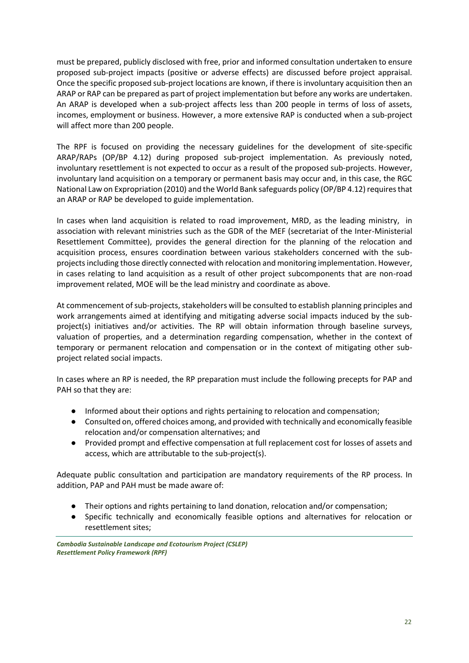must be prepared, publicly disclosed with free, prior and informed consultation undertaken to ensure proposed sub-project impacts (positive or adverse effects) are discussed before project appraisal. Once the specific proposed sub-project locations are known, if there is involuntary acquisition then an ARAP or RAP can be prepared as part of project implementation but before any works are undertaken. An ARAP is developed when a sub-project affects less than 200 people in terms of loss of assets, incomes, employment or business. However, a more extensive RAP is conducted when a sub-project will affect more than 200 people.

The RPF is focused on providing the necessary guidelines for the development of site-specific ARAP/RAPs (OP/BP 4.12) during proposed sub-project implementation. As previously noted, involuntary resettlement is not expected to occur as a result of the proposed sub-projects. However, involuntary land acquisition on a temporary or permanent basis may occur and, in this case, the RGC National Law on Expropriation (2010) and the World Bank safeguards policy (OP/BP 4.12) requires that an ARAP or RAP be developed to guide implementation.

In cases when land acquisition is related to road improvement, MRD, as the leading ministry, in association with relevant ministries such as the GDR of the MEF (secretariat of the Inter-Ministerial Resettlement Committee), provides the general direction for the planning of the relocation and acquisition process, ensures coordination between various stakeholders concerned with the subprojects including those directly connected with relocation and monitoring implementation. However, in cases relating to land acquisition as a result of other project subcomponents that are non-road improvement related, MOE will be the lead ministry and coordinate as above.

At commencement of sub-projects, stakeholders will be consulted to establish planning principles and work arrangements aimed at identifying and mitigating adverse social impacts induced by the subproject(s) initiatives and/or activities. The RP will obtain information through baseline surveys, valuation of properties, and a determination regarding compensation, whether in the context of temporary or permanent relocation and compensation or in the context of mitigating other subproject related social impacts.

In cases where an RP is needed, the RP preparation must include the following precepts for PAP and PAH so that they are:

- Informed about their options and rights pertaining to relocation and compensation;
- Consulted on, offered choices among, and provided with technically and economically feasible relocation and/or compensation alternatives; and
- Provided prompt and effective compensation at full replacement cost for losses of assets and access, which are attributable to the sub-project(s).

Adequate public consultation and participation are mandatory requirements of the RP process. In addition, PAP and PAH must be made aware of:

- Their options and rights pertaining to land donation, relocation and/or compensation;
- Specific technically and economically feasible options and alternatives for relocation or resettlement sites;

*Cambodia Sustainable Landscape and Ecotourism Project (CSLEP) Resettlement Policy Framework (RPF)*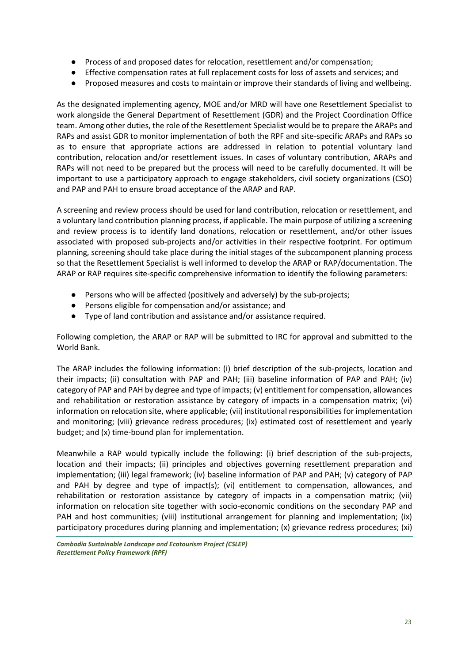- Process of and proposed dates for relocation, resettlement and/or compensation;
- Effective compensation rates at full replacement costs for loss of assets and services; and
- Proposed measures and costs to maintain or improve their standards of living and wellbeing.

As the designated implementing agency, MOE and/or MRD will have one Resettlement Specialist to work alongside the General Department of Resettlement (GDR) and the Project Coordination Office team. Among other duties, the role of the Resettlement Specialist would be to prepare the ARAPs and RAPs and assist GDR to monitor implementation of both the RPF and site-specific ARAPs and RAPs so as to ensure that appropriate actions are addressed in relation to potential voluntary land contribution, relocation and/or resettlement issues. In cases of voluntary contribution, ARAPs and RAPs will not need to be prepared but the process will need to be carefully documented. It will be important to use a participatory approach to engage stakeholders, civil society organizations (CSO) and PAP and PAH to ensure broad acceptance of the ARAP and RAP.

A screening and review process should be used for land contribution, relocation or resettlement, and a voluntary land contribution planning process, if applicable. The main purpose of utilizing a screening and review process is to identify land donations, relocation or resettlement, and/or other issues associated with proposed sub-projects and/or activities in their respective footprint. For optimum planning, screening should take place during the initial stages of the subcomponent planning process so that the Resettlement Specialist is well informed to develop the ARAP or RAP/documentation. The ARAP or RAP requires site-specific comprehensive information to identify the following parameters:

- Persons who will be affected (positively and adversely) by the sub-projects;
- Persons eligible for compensation and/or assistance; and
- Type of land contribution and assistance and/or assistance required.

Following completion, the ARAP or RAP will be submitted to IRC for approval and submitted to the World Bank.

The ARAP includes the following information: (i) brief description of the sub-projects, location and their impacts; (ii) consultation with PAP and PAH; (iii) baseline information of PAP and PAH; (iv) category of PAP and PAH by degree and type of impacts; (v) entitlement for compensation, allowances and rehabilitation or restoration assistance by category of impacts in a compensation matrix; (vi) information on relocation site, where applicable; (vii) institutional responsibilities for implementation and monitoring; (viii) grievance redress procedures; (ix) estimated cost of resettlement and yearly budget; and (x) time-bound plan for implementation.

Meanwhile a RAP would typically include the following: (i) brief description of the sub-projects, location and their impacts; (ii) principles and objectives governing resettlement preparation and implementation; (iii) legal framework; (iv) baseline information of PAP and PAH; (v) category of PAP and PAH by degree and type of impact(s); (vi) entitlement to compensation, allowances, and rehabilitation or restoration assistance by category of impacts in a compensation matrix; (vii) information on relocation site together with socio-economic conditions on the secondary PAP and PAH and host communities; (viii) institutional arrangement for planning and implementation; (ix) participatory procedures during planning and implementation; (x) grievance redress procedures; (xi)

*Cambodia Sustainable Landscape and Ecotourism Project (CSLEP) Resettlement Policy Framework (RPF)*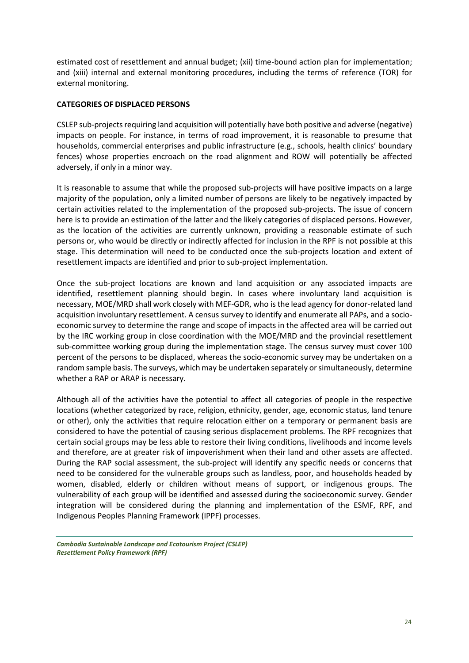estimated cost of resettlement and annual budget; (xii) time-bound action plan for implementation; and (xiii) internal and external monitoring procedures, including the terms of reference (TOR) for external monitoring.

### **CATEGORIES OF DISPLACED PERSONS**

CSLEP sub-projects requiring land acquisition will potentially have both positive and adverse (negative) impacts on people. For instance, in terms of road improvement, it is reasonable to presume that households, commercial enterprises and public infrastructure (e.g., schools, health clinics' boundary fences) whose properties encroach on the road alignment and ROW will potentially be affected adversely, if only in a minor way.

It is reasonable to assume that while the proposed sub-projects will have positive impacts on a large majority of the population, only a limited number of persons are likely to be negatively impacted by certain activities related to the implementation of the proposed sub-projects. The issue of concern here is to provide an estimation of the latter and the likely categories of displaced persons. However, as the location of the activities are currently unknown, providing a reasonable estimate of such persons or, who would be directly or indirectly affected for inclusion in the RPF is not possible at this stage. This determination will need to be conducted once the sub-projects location and extent of resettlement impacts are identified and prior to sub-project implementation.

Once the sub-project locations are known and land acquisition or any associated impacts are identified, resettlement planning should begin. In cases where involuntary land acquisition is necessary, MOE/MRD shall work closely with MEF-GDR, who is the lead agency for donor-related land acquisition involuntary resettlement. A census survey to identify and enumerate all PAPs, and a socioeconomic survey to determine the range and scope of impacts in the affected area will be carried out by the IRC working group in close coordination with the MOE/MRD and the provincial resettlement sub-committee working group during the implementation stage. The census survey must cover 100 percent of the persons to be displaced, whereas the socio-economic survey may be undertaken on a random sample basis. The surveys, which may be undertaken separately or simultaneously, determine whether a RAP or ARAP is necessary.

Although all of the activities have the potential to affect all categories of people in the respective locations (whether categorized by race, religion, ethnicity, gender, age, economic status, land tenure or other), only the activities that require relocation either on a temporary or permanent basis are considered to have the potential of causing serious displacement problems. The RPF recognizes that certain social groups may be less able to restore their living conditions, livelihoods and income levels and therefore, are at greater risk of impoverishment when their land and other assets are affected. During the RAP social assessment, the sub-project will identify any specific needs or concerns that need to be considered for the vulnerable groups such as landless, poor, and households headed by women, disabled, elderly or children without means of support, or indigenous groups. The vulnerability of each group will be identified and assessed during the socioeconomic survey. Gender integration will be considered during the planning and implementation of the ESMF, RPF, and Indigenous Peoples Planning Framework (IPPF) processes.

*Cambodia Sustainable Landscape and Ecotourism Project (CSLEP) Resettlement Policy Framework (RPF)*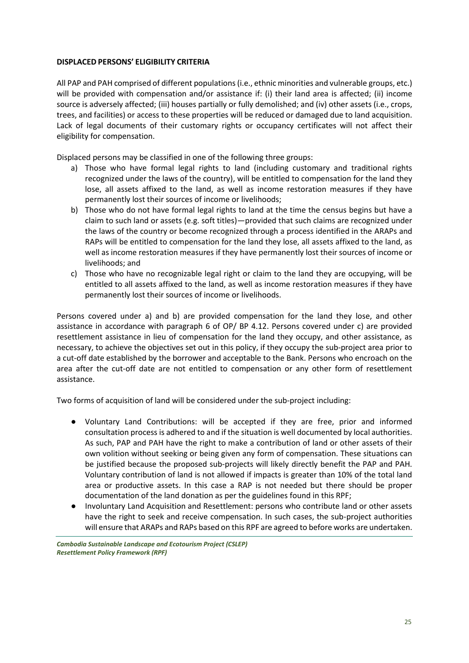#### **DISPLACED PERSONS' ELIGIBILITY CRITERIA**

All PAP and PAH comprised of different populations (i.e., ethnic minorities and vulnerable groups, etc.) will be provided with compensation and/or assistance if: (i) their land area is affected; (ii) income source is adversely affected; (iii) houses partially or fully demolished; and (iv) other assets (i.e., crops, trees, and facilities) or access to these properties will be reduced or damaged due to land acquisition. Lack of legal documents of their customary rights or occupancy certificates will not affect their eligibility for compensation.

Displaced persons may be classified in one of the following three groups:

- a) Those who have formal legal rights to land (including customary and traditional rights recognized under the laws of the country), will be entitled to compensation for the land they lose, all assets affixed to the land, as well as income restoration measures if they have permanently lost their sources of income or livelihoods;
- b) Those who do not have formal legal rights to land at the time the census begins but have a claim to such land or assets (e.g. soft titles)—provided that such claims are recognized under the laws of the country or become recognized through a process identified in the ARAPs and RAPs will be entitled to compensation for the land they lose, all assets affixed to the land, as well as income restoration measures if they have permanently lost their sources of income or livelihoods; and
- c) Those who have no recognizable legal right or claim to the land they are occupying, will be entitled to all assets affixed to the land, as well as income restoration measures if they have permanently lost their sources of income or livelihoods.

Persons covered under a) and b) are provided compensation for the land they lose, and other assistance in accordance with paragraph 6 of OP/ BP 4.12. Persons covered under c) are provided resettlement assistance in lieu of compensation for the land they occupy, and other assistance, as necessary, to achieve the objectives set out in this policy, if they occupy the sub-project area prior to a cut-off date established by the borrower and acceptable to the Bank. Persons who encroach on the area after the cut-off date are not entitled to compensation or any other form of resettlement assistance.

Two forms of acquisition of land will be considered under the sub-project including:

- Voluntary Land Contributions: will be accepted if they are free, prior and informed consultation process is adhered to and if the situation is well documented by local authorities. As such, PAP and PAH have the right to make a contribution of land or other assets of their own volition without seeking or being given any form of compensation. These situations can be justified because the proposed sub-projects will likely directly benefit the PAP and PAH. Voluntary contribution of land is not allowed if impacts is greater than 10% of the total land area or productive assets. In this case a RAP is not needed but there should be proper documentation of the land donation as per the guidelines found in this RPF;
- Involuntary Land Acquisition and Resettlement: persons who contribute land or other assets have the right to seek and receive compensation. In such cases, the sub-project authorities will ensure that ARAPs and RAPs based on this RPF are agreed to before works are undertaken.

*Cambodia Sustainable Landscape and Ecotourism Project (CSLEP) Resettlement Policy Framework (RPF)*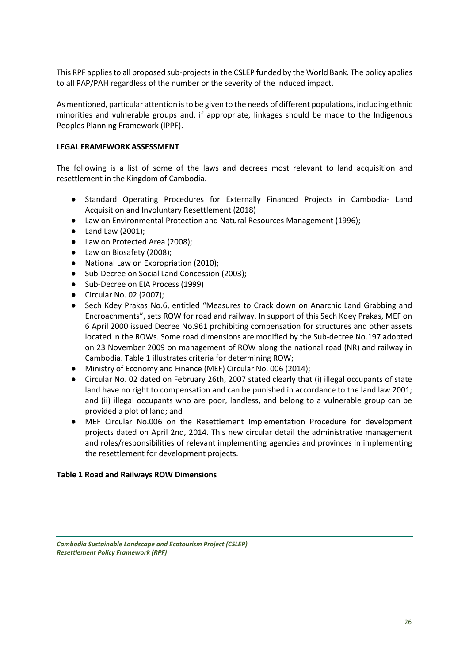This RPF applies to all proposed sub-projects in the CSLEP funded by the World Bank. The policy applies to all PAP/PAH regardless of the number or the severity of the induced impact.

As mentioned, particular attention is to be given to the needs of different populations, including ethnic minorities and vulnerable groups and, if appropriate, linkages should be made to the Indigenous Peoples Planning Framework (IPPF).

### **LEGAL FRAMEWORK ASSESSMENT**

The following is a list of some of the laws and decrees most relevant to land acquisition and resettlement in the Kingdom of Cambodia.

- Standard Operating Procedures for Externally Financed Projects in Cambodia- Land Acquisition and Involuntary Resettlement (2018)
- Law on Environmental Protection and Natural Resources Management (1996);
- Land Law (2001);
- Law on Protected Area (2008);
- Law on Biosafety (2008);
- National Law on Expropriation (2010);
- Sub-Decree on Social Land Concession (2003):
- Sub-Decree on EIA Process (1999)
- Circular No. 02 (2007);
- Sech Kdey Prakas No.6, entitled "Measures to Crack down on Anarchic Land Grabbing and Encroachments", sets ROW for road and railway. In support of this Sech Kdey Prakas, MEF on 6 April 2000 issued Decree No.961 prohibiting compensation for structures and other assets located in the ROWs. Some road dimensions are modified by the Sub-decree No.197 adopted on 23 November 2009 on management of ROW along the national road (NR) and railway in Cambodia. Table 1 illustrates criteria for determining ROW;
- Ministry of Economy and Finance (MEF) Circular No. 006 (2014):
- Circular No. 02 dated on February 26th, 2007 stated clearly that (i) illegal occupants of state land have no right to compensation and can be punished in accordance to the land law 2001; and (ii) illegal occupants who are poor, landless, and belong to a vulnerable group can be provided a plot of land; and
- MEF Circular No.006 on the Resettlement Implementation Procedure for development projects dated on April 2nd, 2014. This new circular detail the administrative management and roles/responsibilities of relevant implementing agencies and provinces in implementing the resettlement for development projects.

#### **Table 1 Road and Railways ROW Dimensions**

*Cambodia Sustainable Landscape and Ecotourism Project (CSLEP) Resettlement Policy Framework (RPF)*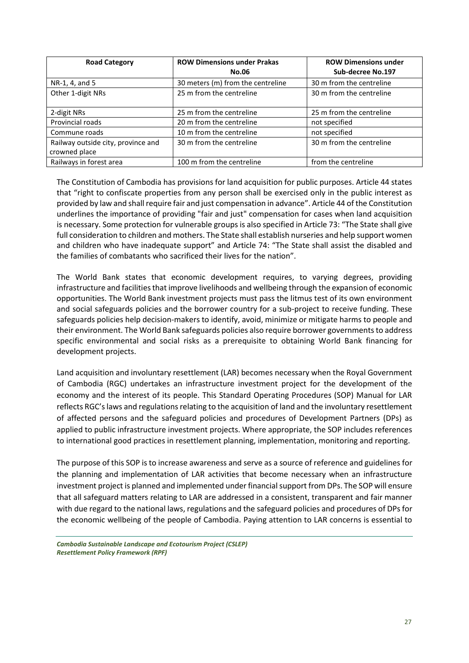| <b>Road Category</b>               | <b>ROW Dimensions under Prakas</b> | <b>ROW Dimensions under</b> |
|------------------------------------|------------------------------------|-----------------------------|
|                                    | <b>No.06</b>                       | Sub-decree No.197           |
| NR-1, 4, and 5                     | 30 meters (m) from the centreline  | 30 m from the centreline    |
| Other 1-digit NRs                  | 25 m from the centreline           | 30 m from the centreline    |
|                                    |                                    |                             |
| 2-digit NRs                        | 25 m from the centreline           | 25 m from the centreline    |
| Provincial roads                   | 20 m from the centreline           | not specified               |
| Commune roads                      | 10 m from the centreline           | not specified               |
| Railway outside city, province and | 30 m from the centreline           | 30 m from the centreline    |
| crowned place                      |                                    |                             |
| Railways in forest area            | 100 m from the centreline          | from the centreline         |

The Constitution of Cambodia has provisions for land acquisition for public purposes. Article 44 states that "right to confiscate properties from any person shall be exercised only in the public interest as provided by law and shall require fair and just compensation in advance". Article 44 of the Constitution underlines the importance of providing "fair and just" compensation for cases when land acquisition is necessary. Some protection for vulnerable groups is also specified in Article 73: "The State shall give full consideration to children and mothers. The State shall establish nurseries and help support women and children who have inadequate support" and Article 74: "The State shall assist the disabled and the families of combatants who sacrificed their lives for the nation".

The World Bank states that economic development requires, to varying degrees, providing infrastructure and facilities that improve livelihoods and wellbeing through the expansion of economic opportunities. The World Bank investment projects must pass the litmus test of its own environment and social safeguards policies and the borrower country for a sub-project to receive funding. These safeguards policies help decision-makers to identify, avoid, minimize or mitigate harms to people and their environment. The World Bank safeguards policies also require borrower governments to address specific environmental and social risks as a prerequisite to obtaining World Bank financing for development projects.

Land acquisition and involuntary resettlement (LAR) becomes necessary when the Royal Government of Cambodia (RGC) undertakes an infrastructure investment project for the development of the economy and the interest of its people. This Standard Operating Procedures (SOP) Manual for LAR reflects RGC's laws and regulations relating to the acquisition of land and the involuntary resettlement of affected persons and the safeguard policies and procedures of Development Partners (DPs) as applied to public infrastructure investment projects. Where appropriate, the SOP includes references to international good practices in resettlement planning, implementation, monitoring and reporting.

The purpose of this SOP is to increase awareness and serve as a source of reference and guidelines for the planning and implementation of LAR activities that become necessary when an infrastructure investment project is planned and implemented under financial support from DPs. The SOP will ensure that all safeguard matters relating to LAR are addressed in a consistent, transparent and fair manner with due regard to the national laws, regulations and the safeguard policies and procedures of DPs for the economic wellbeing of the people of Cambodia. Paying attention to LAR concerns is essential to

*Cambodia Sustainable Landscape and Ecotourism Project (CSLEP) Resettlement Policy Framework (RPF)*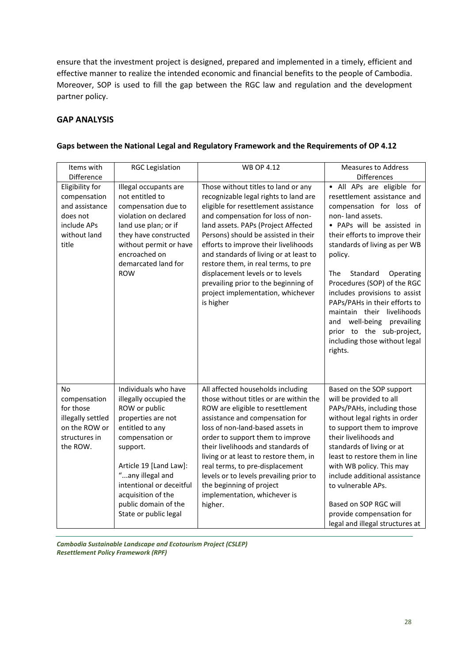ensure that the investment project is designed, prepared and implemented in a timely, efficient and effective manner to realize the intended economic and financial benefits to the people of Cambodia. Moreover, SOP is used to fill the gap between the RGC law and regulation and the development partner policy.

### **GAP ANALYSIS**

| Items with                                                                                            | <b>RGC Legislation</b>                                                                                                                                                                                                                                                                   | <b>WB OP 4.12</b>                                                                                                                                                                                                                                                                                                                                                                                                                                                                               | <b>Measures to Address</b>                                                                                                                                                                                                                                                                                                                                                                                                                                                                 |
|-------------------------------------------------------------------------------------------------------|------------------------------------------------------------------------------------------------------------------------------------------------------------------------------------------------------------------------------------------------------------------------------------------|-------------------------------------------------------------------------------------------------------------------------------------------------------------------------------------------------------------------------------------------------------------------------------------------------------------------------------------------------------------------------------------------------------------------------------------------------------------------------------------------------|--------------------------------------------------------------------------------------------------------------------------------------------------------------------------------------------------------------------------------------------------------------------------------------------------------------------------------------------------------------------------------------------------------------------------------------------------------------------------------------------|
| Difference                                                                                            |                                                                                                                                                                                                                                                                                          |                                                                                                                                                                                                                                                                                                                                                                                                                                                                                                 | <b>Differences</b>                                                                                                                                                                                                                                                                                                                                                                                                                                                                         |
| Eligibility for<br>compensation<br>and assistance<br>does not<br>include APs<br>without land<br>title | Illegal occupants are<br>not entitled to<br>compensation due to<br>violation on declared<br>land use plan; or if<br>they have constructed<br>without permit or have<br>encroached on<br>demarcated land for<br><b>ROW</b>                                                                | Those without titles to land or any<br>recognizable legal rights to land are<br>eligible for resettlement assistance<br>and compensation for loss of non-<br>land assets. PAPs (Project Affected<br>Persons) should be assisted in their<br>efforts to improve their livelihoods<br>and standards of living or at least to<br>restore them, in real terms, to pre<br>displacement levels or to levels<br>prevailing prior to the beginning of<br>project implementation, whichever<br>is higher | · All APs are eligible for<br>resettlement assistance and<br>compensation for loss of<br>non-land assets.<br>· PAPs will be assisted in<br>their efforts to improve their<br>standards of living as per WB<br>policy.<br>The<br>Standard<br>Operating<br>Procedures (SOP) of the RGC<br>includes provisions to assist<br>PAPs/PAHs in their efforts to<br>maintain their livelihoods<br>and well-being prevailing<br>prior to the sub-project,<br>including those without legal<br>rights. |
| No<br>compensation<br>for those<br>illegally settled<br>on the ROW or<br>structures in<br>the ROW.    | Individuals who have<br>illegally occupied the<br>ROW or public<br>properties are not<br>entitled to any<br>compensation or<br>support.<br>Article 19 [Land Law]:<br>"any illegal and<br>intentional or deceitful<br>acquisition of the<br>public domain of the<br>State or public legal | All affected households including<br>those without titles or are within the<br>ROW are eligible to resettlement<br>assistance and compensation for<br>loss of non-land-based assets in<br>order to support them to improve<br>their livelihoods and standards of<br>living or at least to restore them, in<br>real terms, to pre-displacement<br>levels or to levels prevailing prior to<br>the beginning of project<br>implementation, whichever is<br>higher.                                 | Based on the SOP support<br>will be provided to all<br>PAPs/PAHs, including those<br>without legal rights in order<br>to support them to improve<br>their livelihoods and<br>standards of living or at<br>least to restore them in line<br>with WB policy. This may<br>include additional assistance<br>to vulnerable APs.<br>Based on SOP RGC will<br>provide compensation for<br>legal and illegal structures at                                                                         |

### **Gaps between the National Legal and Regulatory Framework and the Requirements of OP 4.12**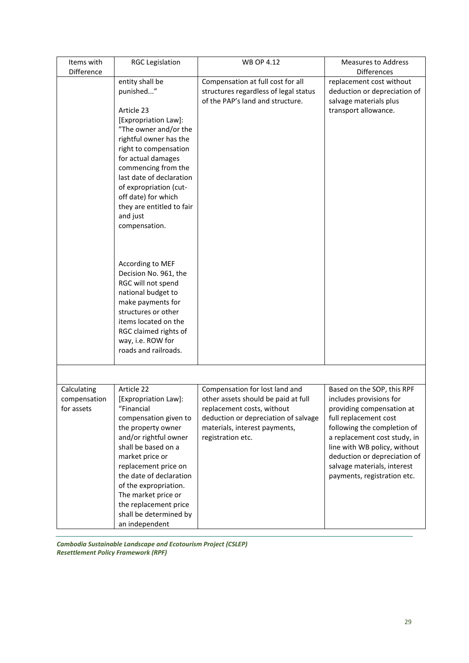| Items with                                | <b>RGC Legislation</b>                                                                                                                                                                                                                                                                                                                     | <b>WB OP 4.12</b>                                                                                                                                                                                 | <b>Measures to Address</b>                                                                                                                                                                                                                                                                               |
|-------------------------------------------|--------------------------------------------------------------------------------------------------------------------------------------------------------------------------------------------------------------------------------------------------------------------------------------------------------------------------------------------|---------------------------------------------------------------------------------------------------------------------------------------------------------------------------------------------------|----------------------------------------------------------------------------------------------------------------------------------------------------------------------------------------------------------------------------------------------------------------------------------------------------------|
| Difference                                |                                                                                                                                                                                                                                                                                                                                            |                                                                                                                                                                                                   | <b>Differences</b>                                                                                                                                                                                                                                                                                       |
|                                           | entity shall be<br>punished"<br>Article 23<br>[Expropriation Law]:<br>"The owner and/or the<br>rightful owner has the<br>right to compensation<br>for actual damages<br>commencing from the<br>last date of declaration<br>of expropriation (cut-<br>off date) for which<br>they are entitled to fair<br>and just<br>compensation.         | Compensation at full cost for all<br>structures regardless of legal status<br>of the PAP's land and structure.                                                                                    | replacement cost without<br>deduction or depreciation of<br>salvage materials plus<br>transport allowance.                                                                                                                                                                                               |
|                                           | According to MEF<br>Decision No. 961, the<br>RGC will not spend<br>national budget to<br>make payments for<br>structures or other<br>items located on the<br>RGC claimed rights of<br>way, i.e. ROW for<br>roads and railroads.                                                                                                            |                                                                                                                                                                                                   |                                                                                                                                                                                                                                                                                                          |
|                                           |                                                                                                                                                                                                                                                                                                                                            |                                                                                                                                                                                                   |                                                                                                                                                                                                                                                                                                          |
| Calculating<br>compensation<br>for assets | Article 22<br>[Expropriation Law]:<br>"Financial<br>compensation given to<br>the property owner<br>and/or rightful owner<br>shall be based on a<br>market price or<br>replacement price on<br>the date of declaration<br>of the expropriation.<br>The market price or<br>the replacement price<br>shall be determined by<br>an independent | Compensation for lost land and<br>other assets should be paid at full<br>replacement costs, without<br>deduction or depreciation of salvage<br>materials, interest payments,<br>registration etc. | Based on the SOP, this RPF<br>includes provisions for<br>providing compensation at<br>full replacement cost<br>following the completion of<br>a replacement cost study, in<br>line with WB policy, without<br>deduction or depreciation of<br>salvage materials, interest<br>payments, registration etc. |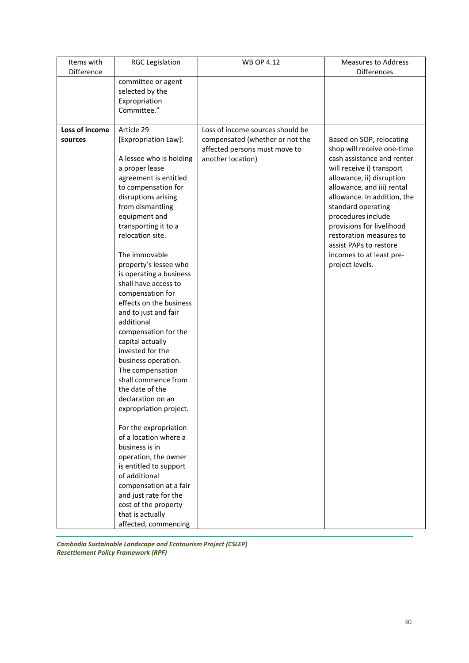| Items with     | <b>RGC Legislation</b>                  | <b>WB OP 4.12</b>                | <b>Measures to Address</b>  |
|----------------|-----------------------------------------|----------------------------------|-----------------------------|
| Difference     |                                         |                                  | <b>Differences</b>          |
|                | committee or agent                      |                                  |                             |
|                | selected by the                         |                                  |                             |
|                | Expropriation                           |                                  |                             |
|                | Committee."                             |                                  |                             |
| Loss of income | Article 29                              | Loss of income sources should be |                             |
| sources        | [Expropriation Law]:                    | compensated (whether or not the  | Based on SOP, relocating    |
|                |                                         | affected persons must move to    | shop will receive one-time  |
|                | A lessee who is holding                 | another location)                | cash assistance and renter  |
|                | a proper lease                          |                                  | will receive i) transport   |
|                | agreement is entitled                   |                                  | allowance, ii) disruption   |
|                | to compensation for                     |                                  | allowance, and iii) rental  |
|                | disruptions arising                     |                                  | allowance. In addition, the |
|                | from dismantling                        |                                  | standard operating          |
|                | equipment and                           |                                  | procedures include          |
|                | transporting it to a                    |                                  | provisions for livelihood   |
|                | relocation site.                        |                                  | restoration measures to     |
|                |                                         |                                  | assist PAPs to restore      |
|                | The immovable                           |                                  | incomes to at least pre-    |
|                | property's lessee who                   |                                  | project levels.             |
|                | is operating a business                 |                                  |                             |
|                | shall have access to                    |                                  |                             |
|                | compensation for                        |                                  |                             |
|                | effects on the business                 |                                  |                             |
|                | and to just and fair                    |                                  |                             |
|                | additional                              |                                  |                             |
|                | compensation for the                    |                                  |                             |
|                | capital actually                        |                                  |                             |
|                | invested for the                        |                                  |                             |
|                | business operation.<br>The compensation |                                  |                             |
|                | shall commence from                     |                                  |                             |
|                | the date of the                         |                                  |                             |
|                | declaration on an                       |                                  |                             |
|                | expropriation project.                  |                                  |                             |
|                |                                         |                                  |                             |
|                | For the expropriation                   |                                  |                             |
|                | of a location where a                   |                                  |                             |
|                | business is in                          |                                  |                             |
|                | operation, the owner                    |                                  |                             |
|                | is entitled to support                  |                                  |                             |
|                | of additional                           |                                  |                             |
|                | compensation at a fair                  |                                  |                             |
|                | and just rate for the                   |                                  |                             |
|                | cost of the property                    |                                  |                             |
|                | that is actually                        |                                  |                             |
|                | affected, commencing                    |                                  |                             |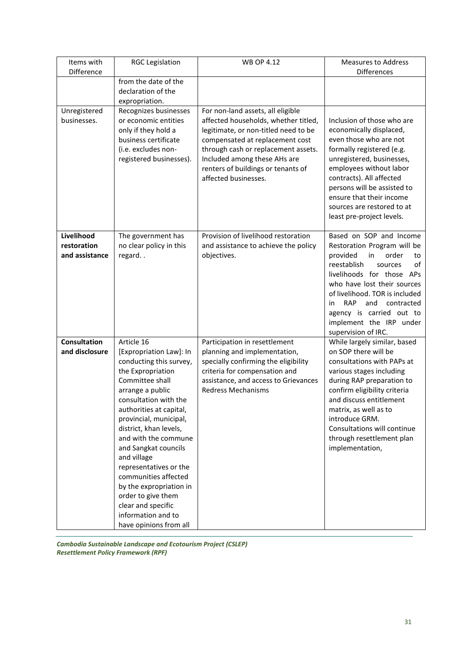| Items with                                  | <b>RGC Legislation</b>                                                                                                                                                                                                                                                                                                                                                                                                                                                       | <b>WB OP 4.12</b>                                                                                                                                                                                                                                                                         | <b>Measures to Address</b>                                                                                                                                                                                                                                                                                                                   |
|---------------------------------------------|------------------------------------------------------------------------------------------------------------------------------------------------------------------------------------------------------------------------------------------------------------------------------------------------------------------------------------------------------------------------------------------------------------------------------------------------------------------------------|-------------------------------------------------------------------------------------------------------------------------------------------------------------------------------------------------------------------------------------------------------------------------------------------|----------------------------------------------------------------------------------------------------------------------------------------------------------------------------------------------------------------------------------------------------------------------------------------------------------------------------------------------|
| Difference                                  |                                                                                                                                                                                                                                                                                                                                                                                                                                                                              |                                                                                                                                                                                                                                                                                           | <b>Differences</b>                                                                                                                                                                                                                                                                                                                           |
|                                             | from the date of the<br>declaration of the<br>expropriation.                                                                                                                                                                                                                                                                                                                                                                                                                 |                                                                                                                                                                                                                                                                                           |                                                                                                                                                                                                                                                                                                                                              |
| Unregistered<br>businesses.                 | Recognizes businesses<br>or economic entities<br>only if they hold a<br>business certificate<br>(i.e. excludes non-<br>registered businesses).                                                                                                                                                                                                                                                                                                                               | For non-land assets, all eligible<br>affected households, whether titled,<br>legitimate, or non-titled need to be<br>compensated at replacement cost<br>through cash or replacement assets.<br>Included among these AHs are<br>renters of buildings or tenants of<br>affected businesses. | Inclusion of those who are<br>economically displaced,<br>even those who are not<br>formally registered (e.g.<br>unregistered, businesses,<br>employees without labor<br>contracts). All affected<br>persons will be assisted to<br>ensure that their income<br>sources are restored to at<br>least pre-project levels.                       |
| Livelihood<br>restoration<br>and assistance | The government has<br>no clear policy in this<br>regard                                                                                                                                                                                                                                                                                                                                                                                                                      | Provision of livelihood restoration<br>and assistance to achieve the policy<br>objectives.                                                                                                                                                                                                | Based on SOP and Income<br>Restoration Program will be<br>provided<br>order<br>in<br>to<br>reestablish<br>of<br>sources<br>livelihoods for those APs<br>who have lost their sources<br>of livelihood. TOR is included<br><b>RAP</b><br>and<br>contracted<br>in<br>agency is carried out to<br>implement the IRP under<br>supervision of IRC. |
| <b>Consultation</b><br>and disclosure       | Article 16<br>[Expropriation Law]: In<br>conducting this survey,<br>the Expropriation<br>Committee shall<br>arrange a public<br>consultation with the<br>authorities at capital,<br>provincial, municipal,<br>district, khan levels,<br>and with the commune<br>and Sangkat councils<br>and village<br>representatives or the<br>communities affected<br>by the expropriation in<br>order to give them<br>clear and specific<br>information and to<br>have opinions from all | Participation in resettlement<br>planning and implementation,<br>specially confirming the eligibility<br>criteria for compensation and<br>assistance, and access to Grievances<br><b>Redress Mechanisms</b>                                                                               | While largely similar, based<br>on SOP there will be<br>consultations with PAPs at<br>various stages including<br>during RAP preparation to<br>confirm eligibility criteria<br>and discuss entitlement<br>matrix, as well as to<br>introduce GRM.<br>Consultations will continue<br>through resettlement plan<br>implementation,             |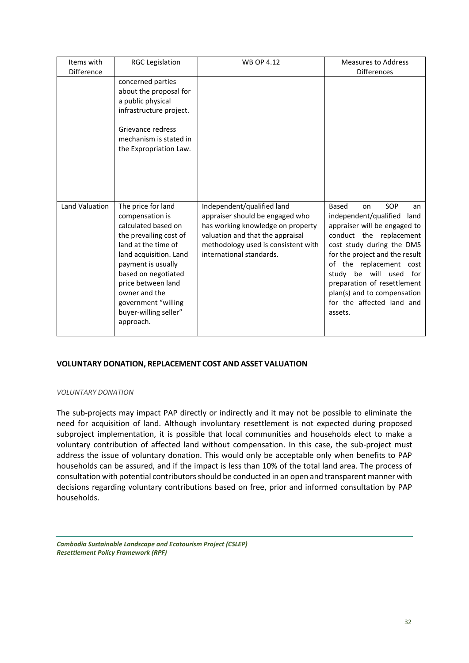| Items with<br>Difference | <b>RGC Legislation</b>                                                                                                                                                                                                                                             | <b>WB OP 4.12</b>                                                                                                                                                           | <b>Measures to Address</b><br>Differences                                                                                                                                                                                                                                                                                |
|--------------------------|--------------------------------------------------------------------------------------------------------------------------------------------------------------------------------------------------------------------------------------------------------------------|-----------------------------------------------------------------------------------------------------------------------------------------------------------------------------|--------------------------------------------------------------------------------------------------------------------------------------------------------------------------------------------------------------------------------------------------------------------------------------------------------------------------|
|                          | concerned parties<br>about the proposal for<br>a public physical<br>infrastructure project.<br>Grievance redress<br>mechanism is stated in<br>the Expropriation Law.                                                                                               |                                                                                                                                                                             |                                                                                                                                                                                                                                                                                                                          |
| Land Valuation           | The price for land                                                                                                                                                                                                                                                 | Independent/qualified land                                                                                                                                                  | SOP<br><b>Based</b><br>on<br>an                                                                                                                                                                                                                                                                                          |
|                          | compensation is<br>calculated based on<br>the prevailing cost of<br>land at the time of<br>land acquisition. Land<br>payment is usually<br>based on negotiated<br>price between land<br>owner and the<br>government "willing<br>buyer-willing seller"<br>approach. | appraiser should be engaged who<br>has working knowledge on property<br>valuation and that the appraisal<br>methodology used is consistent with<br>international standards. | independent/qualified<br>land<br>appraiser will be engaged to<br>conduct the replacement<br>cost study during the DMS<br>for the project and the result<br>of the replacement cost<br>be will<br>studv<br>used for<br>preparation of resettlement<br>plan(s) and to compensation<br>for the affected land and<br>assets. |

### **VOLUNTARY DONATION, REPLACEMENT COST AND ASSET VALUATION**

#### *VOLUNTARY DONATION*

The sub-projects may impact PAP directly or indirectly and it may not be possible to eliminate the need for acquisition of land. Although involuntary resettlement is not expected during proposed subproject implementation, it is possible that local communities and households elect to make a voluntary contribution of affected land without compensation. In this case, the sub-project must address the issue of voluntary donation. This would only be acceptable only when benefits to PAP households can be assured, and if the impact is less than 10% of the total land area. The process of consultation with potential contributors should be conducted in an open and transparent manner with decisions regarding voluntary contributions based on free, prior and informed consultation by PAP households.

*Cambodia Sustainable Landscape and Ecotourism Project (CSLEP) Resettlement Policy Framework (RPF)*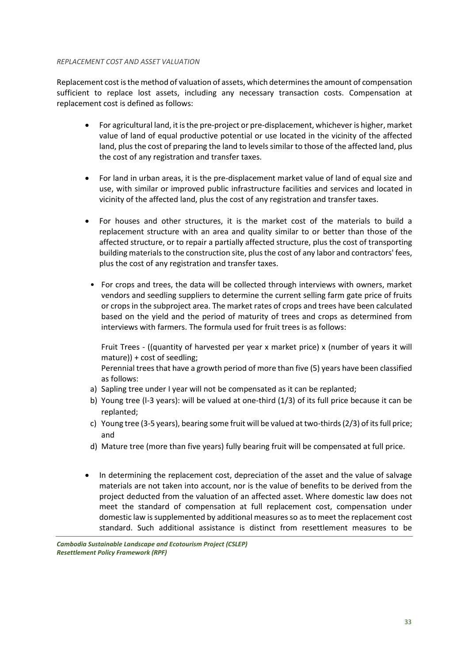#### *REPLACEMENT COST AND ASSET VALUATION*

Replacement cost is the method of valuation of assets, which determines the amount of compensation sufficient to replace lost assets, including any necessary transaction costs. Compensation at replacement cost is defined as follows:

- For agricultural land, it is the pre-project or pre-displacement, whichever is higher, market value of land of equal productive potential or use located in the vicinity of the affected land, plus the cost of preparing the land to levels similar to those of the affected land, plus the cost of any registration and transfer taxes.
- For land in urban areas, it is the pre-displacement market value of land of equal size and use, with similar or improved public infrastructure facilities and services and located in vicinity of the affected land, plus the cost of any registration and transfer taxes.
- For houses and other structures, it is the market cost of the materials to build a replacement structure with an area and quality similar to or better than those of the affected structure, or to repair a partially affected structure, plus the cost of transporting building materials to the construction site, plus the cost of any labor and contractors' fees, plus the cost of any registration and transfer taxes.
- For crops and trees, the data will be collected through interviews with owners, market vendors and seedling suppliers to determine the current selling farm gate price of fruits or crops in the subproject area. The market rates of crops and trees have been calculated based on the yield and the period of maturity of trees and crops as determined from interviews with farmers. The formula used for fruit trees is as follows:

Fruit Trees - ((quantity of harvested per year x market price) x (number of years it will mature)) + cost of seedling;

Perennial trees that have a growth period of more than five (5) years have been classified as follows:

- a) Sapling tree under I year will not be compensated as it can be replanted;
- b) Young tree (l-3 years): will be valued at one-third (1/3) of its full price because it can be replanted;
- c) Young tree (3-5 years), bearing some fruit will be valued at two-thirds (2/3) of its full price; and
- d) Mature tree (more than five years) fully bearing fruit will be compensated at full price.
- In determining the replacement cost, depreciation of the asset and the value of salvage materials are not taken into account, nor is the value of benefits to be derived from the project deducted from the valuation of an affected asset. Where domestic law does not meet the standard of compensation at full replacement cost, compensation under domestic law is supplemented by additional measures so as to meet the replacement cost standard. Such additional assistance is distinct from resettlement measures to be

*Cambodia Sustainable Landscape and Ecotourism Project (CSLEP) Resettlement Policy Framework (RPF)*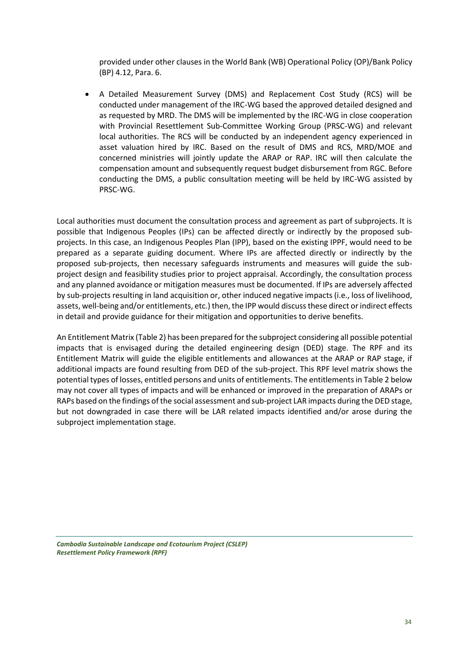provided under other clauses in the World Bank (WB) Operational Policy (OP)/Bank Policy (BP) 4.12, Para. 6.

• A Detailed Measurement Survey (DMS) and Replacement Cost Study (RCS) will be conducted under management of the IRC-WG based the approved detailed designed and as requested by MRD. The DMS will be implemented by the IRC-WG in close cooperation with Provincial Resettlement Sub-Committee Working Group (PRSC-WG) and relevant local authorities. The RCS will be conducted by an independent agency experienced in asset valuation hired by IRC. Based on the result of DMS and RCS, MRD/MOE and concerned ministries will jointly update the ARAP or RAP. IRC will then calculate the compensation amount and subsequently request budget disbursement from RGC. Before conducting the DMS, a public consultation meeting will be held by IRC-WG assisted by PRSC-WG.

Local authorities must document the consultation process and agreement as part of subprojects. It is possible that Indigenous Peoples (IPs) can be affected directly or indirectly by the proposed subprojects. In this case, an Indigenous Peoples Plan (IPP), based on the existing IPPF, would need to be prepared as a separate guiding document. Where IPs are affected directly or indirectly by the proposed sub-projects, then necessary safeguards instruments and measures will guide the subproject design and feasibility studies prior to project appraisal. Accordingly, the consultation process and any planned avoidance or mitigation measures must be documented. If IPs are adversely affected by sub-projects resulting in land acquisition or, other induced negative impacts (i.e., loss of livelihood, assets, well-being and/or entitlements, etc.) then, the IPP would discuss these direct or indirect effects in detail and provide guidance for their mitigation and opportunities to derive benefits.

An Entitlement Matrix (Table 2) has been prepared for the subproject considering all possible potential impacts that is envisaged during the detailed engineering design (DED) stage. The RPF and its Entitlement Matrix will guide the eligible entitlements and allowances at the ARAP or RAP stage, if additional impacts are found resulting from DED of the sub-project. This RPF level matrix shows the potential types of losses, entitled persons and units of entitlements. The entitlements in Table 2 below may not cover all types of impacts and will be enhanced or improved in the preparation of ARAPs or RAPs based on the findings of the social assessment and sub-project LAR impacts during the DED stage, but not downgraded in case there will be LAR related impacts identified and/or arose during the subproject implementation stage.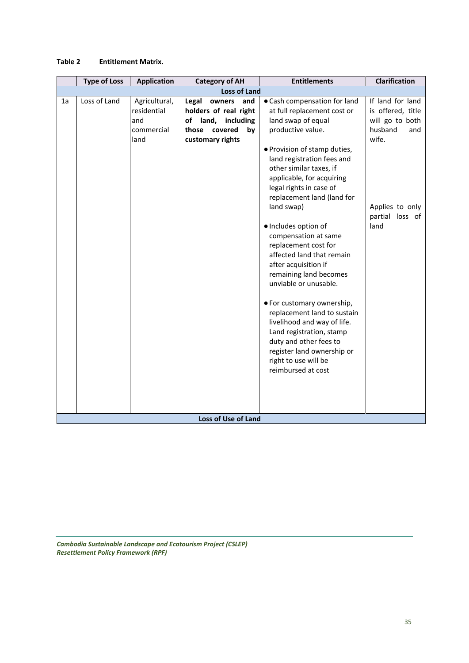#### **Table 2 Entitlement Matrix.**

|    | <b>Type of Loss</b> | <b>Application</b> | <b>Category of AH</b>      | <b>Entitlements</b>          | <b>Clarification</b> |
|----|---------------------|--------------------|----------------------------|------------------------------|----------------------|
|    | <b>Loss of Land</b> |                    |                            |                              |                      |
| 1a | Loss of Land        | Agricultural,      | Legal<br>and<br>owners     | • Cash compensation for land | If land for land     |
|    |                     | residential        | holders of real right      | at full replacement cost or  | is offered, title    |
|    |                     | and                | land,<br>including<br>of   | land swap of equal           | will go to both      |
|    |                     | commercial         | covered<br>those<br>by     | productive value.            | husband<br>and       |
|    |                     | land               | customary rights           |                              | wife.                |
|    |                     |                    |                            | · Provision of stamp duties, |                      |
|    |                     |                    |                            | land registration fees and   |                      |
|    |                     |                    |                            | other similar taxes, if      |                      |
|    |                     |                    |                            | applicable, for acquiring    |                      |
|    |                     |                    |                            | legal rights in case of      |                      |
|    |                     |                    |                            | replacement land (land for   |                      |
|    |                     |                    |                            | land swap)                   | Applies to only      |
|    |                     |                    |                            |                              | partial loss of      |
|    |                     |                    |                            | · Includes option of         | land                 |
|    |                     |                    |                            | compensation at same         |                      |
|    |                     |                    |                            | replacement cost for         |                      |
|    |                     |                    |                            | affected land that remain    |                      |
|    |                     |                    |                            | after acquisition if         |                      |
|    |                     |                    |                            | remaining land becomes       |                      |
|    |                     |                    |                            | unviable or unusable.        |                      |
|    |                     |                    |                            |                              |                      |
|    |                     |                    |                            | • For customary ownership,   |                      |
|    |                     |                    |                            | replacement land to sustain  |                      |
|    |                     |                    |                            | livelihood and way of life.  |                      |
|    |                     |                    |                            | Land registration, stamp     |                      |
|    |                     |                    |                            | duty and other fees to       |                      |
|    |                     |                    |                            | register land ownership or   |                      |
|    |                     |                    |                            | right to use will be         |                      |
|    |                     |                    |                            | reimbursed at cost           |                      |
|    |                     |                    |                            |                              |                      |
|    |                     |                    |                            |                              |                      |
|    |                     |                    |                            |                              |                      |
|    |                     |                    |                            |                              |                      |
|    |                     |                    | <b>Loss of Use of Land</b> |                              |                      |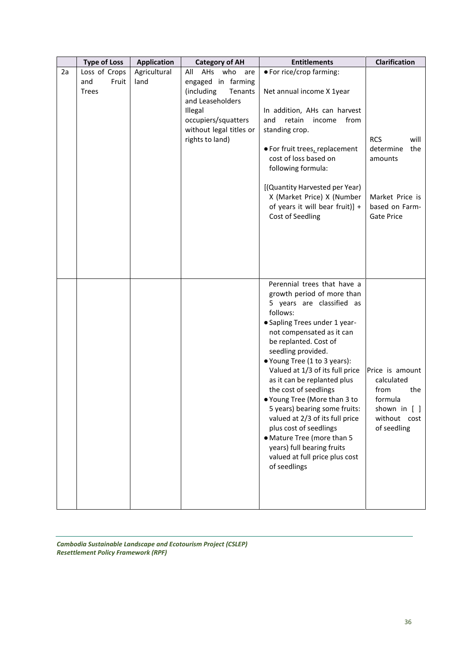|    | <b>Type of Loss</b>                           | <b>Application</b>   | <b>Category of AH</b>                                                                                                                                                 | <b>Entitlements</b>                                                                                                                                                                                                                                                                                                                                                                                                                                                                                                                                                                    | Clarification                                                                                               |
|----|-----------------------------------------------|----------------------|-----------------------------------------------------------------------------------------------------------------------------------------------------------------------|----------------------------------------------------------------------------------------------------------------------------------------------------------------------------------------------------------------------------------------------------------------------------------------------------------------------------------------------------------------------------------------------------------------------------------------------------------------------------------------------------------------------------------------------------------------------------------------|-------------------------------------------------------------------------------------------------------------|
| 2a | Loss of Crops<br>Fruit<br>and<br><b>Trees</b> | Agricultural<br>land | All AHs who<br>are<br>engaged in farming<br>(including<br>Tenants<br>and Leaseholders<br>Illegal<br>occupiers/squatters<br>without legal titles or<br>rights to land) | • For rice/crop farming:<br>Net annual income X 1year<br>In addition, AHs can harvest<br>retain<br>and<br>income<br>from<br>standing crop.<br>● For fruit trees, replacement<br>cost of loss based on<br>following formula:<br>[(Quantity Harvested per Year)<br>X (Market Price) X (Number<br>of years it will bear fruit)] +<br>Cost of Seedling                                                                                                                                                                                                                                     | <b>RCS</b><br>will<br>determine<br>the<br>amounts<br>Market Price is<br>based on Farm-<br><b>Gate Price</b> |
|    |                                               |                      |                                                                                                                                                                       | Perennial trees that have a<br>growth period of more than<br>5 years are classified as<br>follows:<br>• Sapling Trees under 1 year-<br>not compensated as it can<br>be replanted. Cost of<br>seedling provided.<br>● Young Tree (1 to 3 years):<br>Valued at 1/3 of its full price<br>as it can be replanted plus<br>the cost of seedlings<br>● Young Tree (More than 3 to<br>5 years) bearing some fruits:<br>valued at 2/3 of its full price<br>plus cost of seedlings<br>• Mature Tree (more than 5<br>years) full bearing fruits<br>valued at full price plus cost<br>of seedlings | Price is amount<br>calculated<br>from<br>the<br>formula<br>shown in [ ]<br>without cost<br>of seedling      |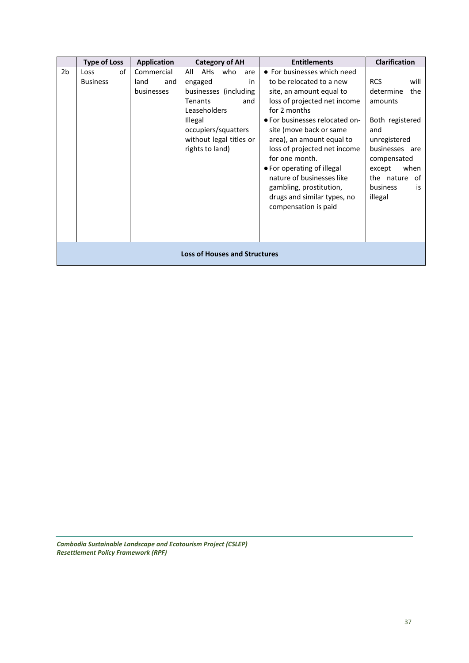|    | <b>Type of Loss</b>                  | <b>Application</b>                      | <b>Category of AH</b>                                                                                                                                                                       | <b>Entitlements</b>                                                                                                                                                                                                                                                                                                                                                                                                          | <b>Clarification</b>                                                                                                                                                                            |  |  |
|----|--------------------------------------|-----------------------------------------|---------------------------------------------------------------------------------------------------------------------------------------------------------------------------------------------|------------------------------------------------------------------------------------------------------------------------------------------------------------------------------------------------------------------------------------------------------------------------------------------------------------------------------------------------------------------------------------------------------------------------------|-------------------------------------------------------------------------------------------------------------------------------------------------------------------------------------------------|--|--|
| 2b | of<br>Loss<br><b>Business</b>        | Commercial<br>land<br>and<br>businesses | All<br><b>AHs</b><br>who<br>are<br>engaged<br>in<br>businesses (including<br>Tenants<br>and<br>Leaseholders<br>Illegal<br>occupiers/squatters<br>without legal titles or<br>rights to land) | • For businesses which need<br>to be relocated to a new<br>site, an amount equal to<br>loss of projected net income<br>for 2 months<br>• For businesses relocated on-<br>site (move back or same<br>area), an amount equal to<br>loss of projected net income<br>for one month.<br>• For operating of illegal<br>nature of businesses like<br>gambling, prostitution,<br>drugs and similar types, no<br>compensation is paid | <b>RCS</b><br>will<br>determine<br>the<br>amounts<br>Both registered<br>and<br>unregistered<br>businesses are<br>compensated<br>except<br>when<br>the nature<br>0f<br>business<br>is<br>illegal |  |  |
|    | <b>Loss of Houses and Structures</b> |                                         |                                                                                                                                                                                             |                                                                                                                                                                                                                                                                                                                                                                                                                              |                                                                                                                                                                                                 |  |  |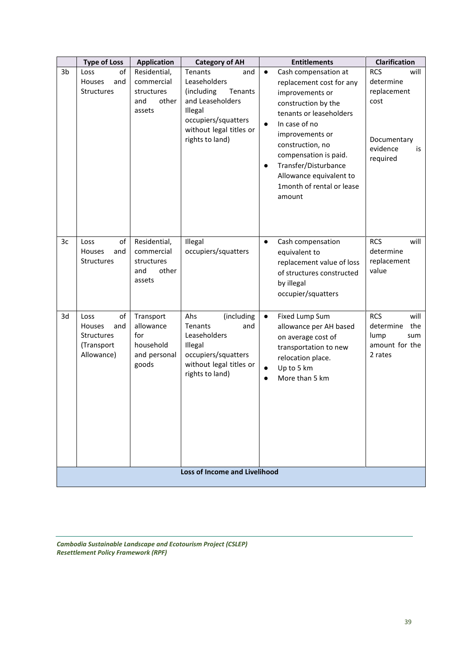|                                      | <b>Type of Loss</b>                                                          | <b>Application</b>                                                  | <b>Category of AH</b>                                                                                                                     | <b>Entitlements</b>                                                                                                                                                                                                                                                                                | Clarification                                                                      |  |
|--------------------------------------|------------------------------------------------------------------------------|---------------------------------------------------------------------|-------------------------------------------------------------------------------------------------------------------------------------------|----------------------------------------------------------------------------------------------------------------------------------------------------------------------------------------------------------------------------------------------------------------------------------------------------|------------------------------------------------------------------------------------|--|
| 3 <sub>b</sub>                       | оf<br>Loss                                                                   | Residential,                                                        | Tenants<br>and                                                                                                                            | Cash compensation at<br>$\bullet$                                                                                                                                                                                                                                                                  | <b>RCS</b><br>will                                                                 |  |
|                                      | Houses<br>and<br><b>Structures</b>                                           | commercial<br>structures<br>and<br>other<br>assets                  | Leaseholders<br>(including<br>Tenants<br>and Leaseholders<br>Illegal<br>occupiers/squatters<br>without legal titles or<br>rights to land) | replacement cost for any<br>improvements or<br>construction by the<br>tenants or leaseholders<br>In case of no<br>$\bullet$<br>improvements or<br>construction, no<br>compensation is paid.<br>Transfer/Disturbance<br>$\bullet$<br>Allowance equivalent to<br>1month of rental or lease<br>amount | determine<br>replacement<br>cost<br>Documentary<br>evidence<br>is<br>required      |  |
| 3c                                   | Loss<br>оf<br>Houses<br>and<br>Structures                                    | Residential,<br>commercial<br>structures<br>and<br>other<br>assets  | Illegal<br>occupiers/squatters                                                                                                            | Cash compensation<br>$\bullet$<br>equivalent to<br>replacement value of loss<br>of structures constructed<br>by illegal<br>occupier/squatters                                                                                                                                                      | <b>RCS</b><br>will<br>determine<br>replacement<br>value                            |  |
| 3d                                   | Loss<br>of<br>Houses<br>and<br><b>Structures</b><br>(Transport<br>Allowance) | Transport<br>allowance<br>for<br>household<br>and personal<br>goods | (including<br>Ahs<br>Tenants<br>and<br>Leaseholders<br>Illegal<br>occupiers/squatters<br>without legal titles or<br>rights to land)       | Fixed Lump Sum<br>$\bullet$<br>allowance per AH based<br>on average cost of<br>transportation to new<br>relocation place.<br>Up to 5 km<br>$\bullet$<br>More than 5 km<br>$\bullet$                                                                                                                | <b>RCS</b><br>will<br>determine<br>the<br>lump<br>sum<br>amount for the<br>2 rates |  |
| <b>Loss of Income and Livelihood</b> |                                                                              |                                                                     |                                                                                                                                           |                                                                                                                                                                                                                                                                                                    |                                                                                    |  |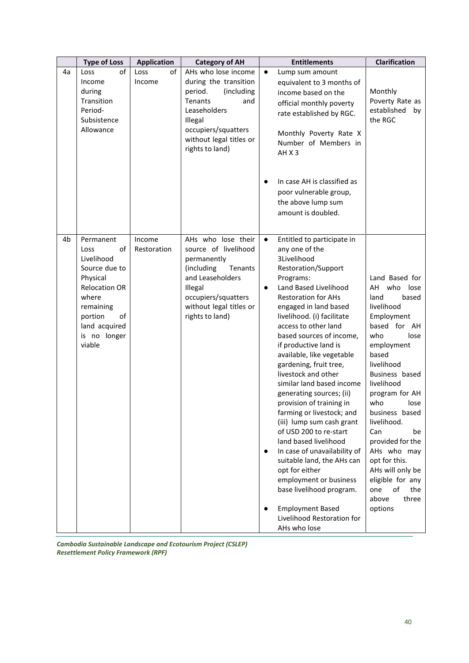|    | <b>Type of Loss</b>                                                                                                                                                          | <b>Application</b>    | <b>Category of AH</b>                                                                                                                                                                   | <b>Entitlements</b>                                                                                                                                                                                                                                                                                                                                                                                                                                                                                                                                                                                                                                                                                                                                                                                                              | <b>Clarification</b>                                                                                                                                                                                                                                                                                                                                                                                          |
|----|------------------------------------------------------------------------------------------------------------------------------------------------------------------------------|-----------------------|-----------------------------------------------------------------------------------------------------------------------------------------------------------------------------------------|----------------------------------------------------------------------------------------------------------------------------------------------------------------------------------------------------------------------------------------------------------------------------------------------------------------------------------------------------------------------------------------------------------------------------------------------------------------------------------------------------------------------------------------------------------------------------------------------------------------------------------------------------------------------------------------------------------------------------------------------------------------------------------------------------------------------------------|---------------------------------------------------------------------------------------------------------------------------------------------------------------------------------------------------------------------------------------------------------------------------------------------------------------------------------------------------------------------------------------------------------------|
| 4a | of<br>Loss<br>Income<br>during<br>Transition<br>Period-<br>Subsistence<br>Allowance                                                                                          | of<br>Loss<br>Income  | AHs who lose income<br>during the transition<br>period.<br>(including<br>Tenants<br>and<br>Leaseholders<br>Illegal<br>occupiers/squatters<br>without legal titles or<br>rights to land) | Lump sum amount<br>$\bullet$<br>equivalent to 3 months of<br>income based on the<br>official monthly poverty<br>rate established by RGC.<br>Monthly Poverty Rate X<br>Number of Members in<br>AHX3<br>In case AH is classified as<br>$\bullet$<br>poor vulnerable group,<br>the above lump sum<br>amount is doubled.                                                                                                                                                                                                                                                                                                                                                                                                                                                                                                             | Monthly<br>Poverty Rate as<br>established<br>by<br>the RGC                                                                                                                                                                                                                                                                                                                                                    |
| 4b | Permanent<br>οf<br>Loss<br>Livelihood<br>Source due to<br>Physical<br><b>Relocation OR</b><br>where<br>remaining<br>portion<br>of<br>land acquired<br>is no longer<br>viable | Income<br>Restoration | AHs who lose their<br>source of livelihood<br>permanently<br>(including<br>Tenants<br>and Leaseholders<br>Illegal<br>occupiers/squatters<br>without legal titles or<br>rights to land)  | Entitled to participate in<br>$\bullet$<br>any one of the<br>3Livelihood<br>Restoration/Support<br>Programs:<br>Land Based Livelihood<br>$\bullet$<br><b>Restoration for AHs</b><br>engaged in land based<br>livelihood. (i) facilitate<br>access to other land<br>based sources of income,<br>if productive land is<br>available, like vegetable<br>gardening, fruit tree,<br>livestock and other<br>similar land based income<br>generating sources; (ii)<br>provision of training in<br>farming or livestock; and<br>(iii) lump sum cash grant<br>of USD 200 to re-start<br>land based livelihood<br>In case of unavailability of<br>$\bullet$<br>suitable land, the AHs can<br>opt for either<br>employment or business<br>base livelihood program.<br><b>Employment Based</b><br>Livelihood Restoration for<br>AHs who lose | Land Based for<br>AH<br>who lose<br>land<br>based<br>livelihood<br>Employment<br>based for AH<br>who<br>lose<br>employment<br>based<br>livelihood<br>Business based<br>livelihood<br>program for AH<br>who<br>lose<br>business based<br>livelihood.<br>Can<br>be<br>provided for the<br>AHs who may<br>opt for this.<br>AHs will only be<br>eligible for any<br>of<br>one<br>the<br>above<br>three<br>options |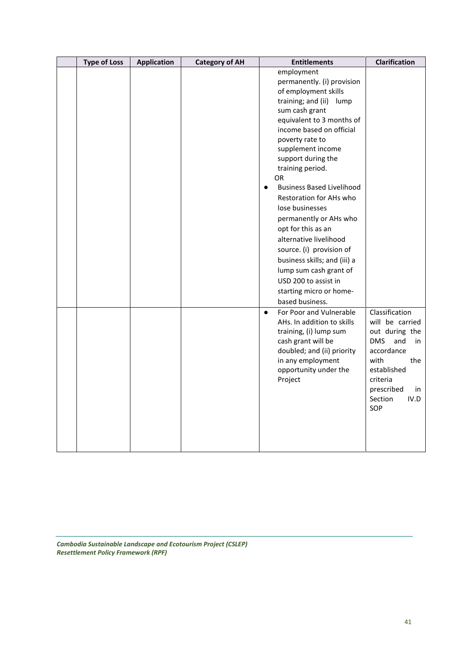| <b>Type of Loss</b> | <b>Application</b> | <b>Category of AH</b> | <b>Entitlements</b>                                                                                                                                                                                                                                                                                                                                                                                                                                                                                                                                                                                     | Clarification                                                                                                                                                                        |
|---------------------|--------------------|-----------------------|---------------------------------------------------------------------------------------------------------------------------------------------------------------------------------------------------------------------------------------------------------------------------------------------------------------------------------------------------------------------------------------------------------------------------------------------------------------------------------------------------------------------------------------------------------------------------------------------------------|--------------------------------------------------------------------------------------------------------------------------------------------------------------------------------------|
|                     |                    |                       | employment<br>permanently. (i) provision<br>of employment skills<br>training; and (ii)<br>lump<br>sum cash grant<br>equivalent to 3 months of<br>income based on official<br>poverty rate to<br>supplement income<br>support during the<br>training period.<br>OR.<br><b>Business Based Livelihood</b><br>$\bullet$<br>Restoration for AHs who<br>lose businesses<br>permanently or AHs who<br>opt for this as an<br>alternative livelihood<br>source. (i) provision of<br>business skills; and (iii) a<br>lump sum cash grant of<br>USD 200 to assist in<br>starting micro or home-<br>based business. |                                                                                                                                                                                      |
|                     |                    |                       | For Poor and Vulnerable<br>$\bullet$<br>AHs. In addition to skills<br>training, (i) lump sum<br>cash grant will be<br>doubled; and (ii) priority<br>in any employment<br>opportunity under the<br>Project                                                                                                                                                                                                                                                                                                                                                                                               | Classification<br>will be carried<br>out during the<br><b>DMS</b><br>and<br>in<br>accordance<br>with<br>the<br>established<br>criteria<br>prescribed<br>in<br>Section<br>IV.D<br>SOP |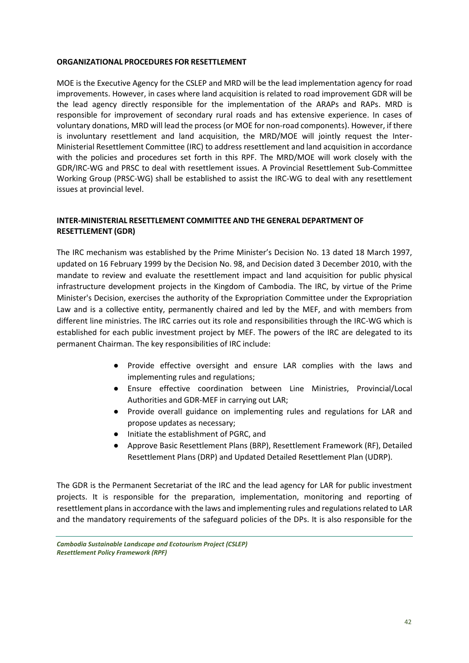#### **ORGANIZATIONAL PROCEDURES FOR RESETTLEMENT**

MOE is the Executive Agency for the CSLEP and MRD will be the lead implementation agency for road improvements. However, in cases where land acquisition is related to road improvement GDR will be the lead agency directly responsible for the implementation of the ARAPs and RAPs. MRD is responsible for improvement of secondary rural roads and has extensive experience. In cases of voluntary donations, MRD will lead the process (or MOE for non-road components). However, if there is involuntary resettlement and land acquisition, the MRD/MOE will jointly request the Inter-Ministerial Resettlement Committee (IRC) to address resettlement and land acquisition in accordance with the policies and procedures set forth in this RPF. The MRD/MOE will work closely with the GDR/IRC-WG and PRSC to deal with resettlement issues. A Provincial Resettlement Sub-Committee Working Group (PRSC-WG) shall be established to assist the IRC-WG to deal with any resettlement issues at provincial level.

### **INTER-MINISTERIAL RESETTLEMENT COMMITTEE AND THE GENERAL DEPARTMENT OF RESETTLEMENT (GDR)**

The IRC mechanism was established by the Prime Minister's Decision No. 13 dated 18 March 1997, updated on 16 February 1999 by the Decision No. 98, and Decision dated 3 December 2010, with the mandate to review and evaluate the resettlement impact and land acquisition for public physical infrastructure development projects in the Kingdom of Cambodia. The IRC, by virtue of the Prime Minister's Decision, exercises the authority of the Expropriation Committee under the Expropriation Law and is a collective entity, permanently chaired and led by the MEF, and with members from different line ministries. The IRC carries out its role and responsibilities through the IRC-WG which is established for each public investment project by MEF. The powers of the IRC are delegated to its permanent Chairman. The key responsibilities of IRC include:

- Provide effective oversight and ensure LAR complies with the laws and implementing rules and regulations;
- Ensure effective coordination between Line Ministries, Provincial/Local Authorities and GDR-MEF in carrying out LAR;
- Provide overall guidance on implementing rules and regulations for LAR and propose updates as necessary;
- Initiate the establishment of PGRC, and
- Approve Basic Resettlement Plans (BRP), Resettlement Framework (RF), Detailed Resettlement Plans (DRP) and Updated Detailed Resettlement Plan (UDRP).

The GDR is the Permanent Secretariat of the IRC and the lead agency for LAR for public investment projects. It is responsible for the preparation, implementation, monitoring and reporting of resettlement plans in accordance with the laws and implementing rules and regulations related to LAR and the mandatory requirements of the safeguard policies of the DPs. It is also responsible for the

*Cambodia Sustainable Landscape and Ecotourism Project (CSLEP) Resettlement Policy Framework (RPF)*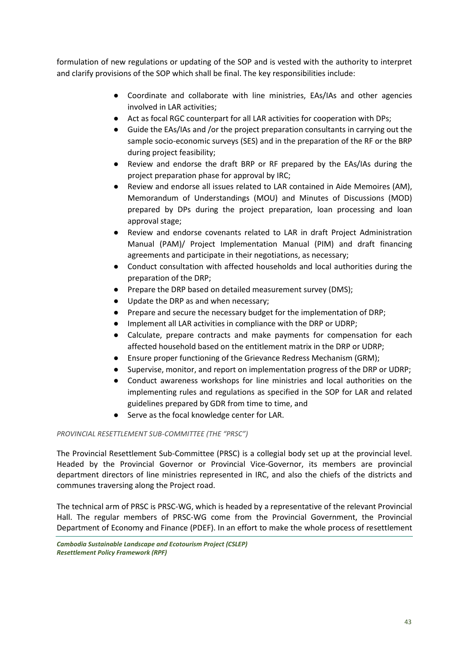formulation of new regulations or updating of the SOP and is vested with the authority to interpret and clarify provisions of the SOP which shall be final. The key responsibilities include:

- Coordinate and collaborate with line ministries, EAs/IAs and other agencies involved in LAR activities;
- Act as focal RGC counterpart for all LAR activities for cooperation with DPs;
- Guide the EAs/IAs and /or the project preparation consultants in carrying out the sample socio-economic surveys (SES) and in the preparation of the RF or the BRP during project feasibility;
- Review and endorse the draft BRP or RF prepared by the EAs/IAs during the project preparation phase for approval by IRC;
- Review and endorse all issues related to LAR contained in Aide Memoires (AM), Memorandum of Understandings (MOU) and Minutes of Discussions (MOD) prepared by DPs during the project preparation, loan processing and loan approval stage;
- Review and endorse covenants related to LAR in draft Project Administration Manual (PAM)/ Project Implementation Manual (PIM) and draft financing agreements and participate in their negotiations, as necessary;
- Conduct consultation with affected households and local authorities during the preparation of the DRP;
- Prepare the DRP based on detailed measurement survey (DMS);
- Update the DRP as and when necessary;
- Prepare and secure the necessary budget for the implementation of DRP;
- Implement all LAR activities in compliance with the DRP or UDRP;
- Calculate, prepare contracts and make payments for compensation for each affected household based on the entitlement matrix in the DRP or UDRP;
- Ensure proper functioning of the Grievance Redress Mechanism (GRM);
- Supervise, monitor, and report on implementation progress of the DRP or UDRP;
- Conduct awareness workshops for line ministries and local authorities on the implementing rules and regulations as specified in the SOP for LAR and related guidelines prepared by GDR from time to time, and
- Serve as the focal knowledge center for LAR.

#### *PROVINCIAL RESETTLEMENT SUB-COMMITTEE (THE "PRSC")*

The Provincial Resettlement Sub-Committee (PRSC) is a collegial body set up at the provincial level. Headed by the Provincial Governor or Provincial Vice-Governor, its members are provincial department directors of line ministries represented in IRC, and also the chiefs of the districts and communes traversing along the Project road.

The technical arm of PRSC is PRSC-WG, which is headed by a representative of the relevant Provincial Hall. The regular members of PRSC-WG come from the Provincial Government, the Provincial Department of Economy and Finance (PDEF). In an effort to make the whole process of resettlement

*Cambodia Sustainable Landscape and Ecotourism Project (CSLEP) Resettlement Policy Framework (RPF)*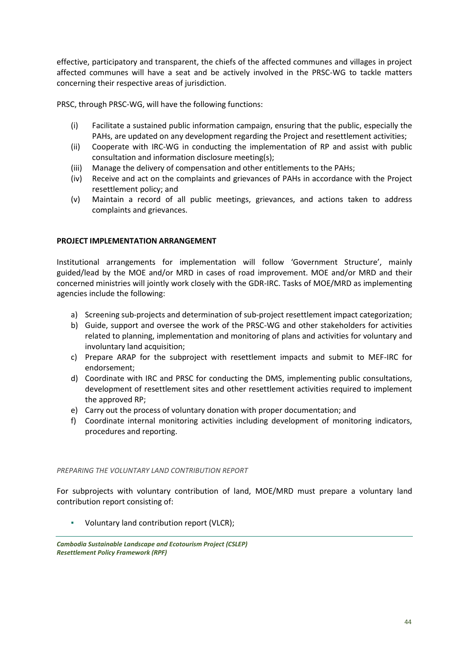effective, participatory and transparent, the chiefs of the affected communes and villages in project affected communes will have a seat and be actively involved in the PRSC-WG to tackle matters concerning their respective areas of jurisdiction.

PRSC, through PRSC-WG, will have the following functions:

- (i) Facilitate a sustained public information campaign, ensuring that the public, especially the PAHs, are updated on any development regarding the Project and resettlement activities;
- (ii) Cooperate with IRC-WG in conducting the implementation of RP and assist with public consultation and information disclosure meeting(s);
- (iii) Manage the delivery of compensation and other entitlements to the PAHs;
- (iv) Receive and act on the complaints and grievances of PAHs in accordance with the Project resettlement policy; and
- (v) Maintain a record of all public meetings, grievances, and actions taken to address complaints and grievances.

#### **PROJECT IMPLEMENTATION ARRANGEMENT**

Institutional arrangements for implementation will follow 'Government Structure', mainly guided/lead by the MOE and/or MRD in cases of road improvement. MOE and/or MRD and their concerned ministries will jointly work closely with the GDR-IRC. Tasks of MOE/MRD as implementing agencies include the following:

- a) Screening sub-projects and determination of sub-project resettlement impact categorization;
- b) Guide, support and oversee the work of the PRSC-WG and other stakeholders for activities related to planning, implementation and monitoring of plans and activities for voluntary and involuntary land acquisition;
- c) Prepare ARAP for the subproject with resettlement impacts and submit to MEF-IRC for endorsement;
- d) Coordinate with IRC and PRSC for conducting the DMS, implementing public consultations, development of resettlement sites and other resettlement activities required to implement the approved RP;
- e) Carry out the process of voluntary donation with proper documentation; and
- f) Coordinate internal monitoring activities including development of monitoring indicators, procedures and reporting.

#### *PREPARING THE VOLUNTARY LAND CONTRIBUTION REPORT*

For subprojects with voluntary contribution of land, MOE/MRD must prepare a voluntary land contribution report consisting of:

▪ Voluntary land contribution report (VLCR);

*Cambodia Sustainable Landscape and Ecotourism Project (CSLEP) Resettlement Policy Framework (RPF)*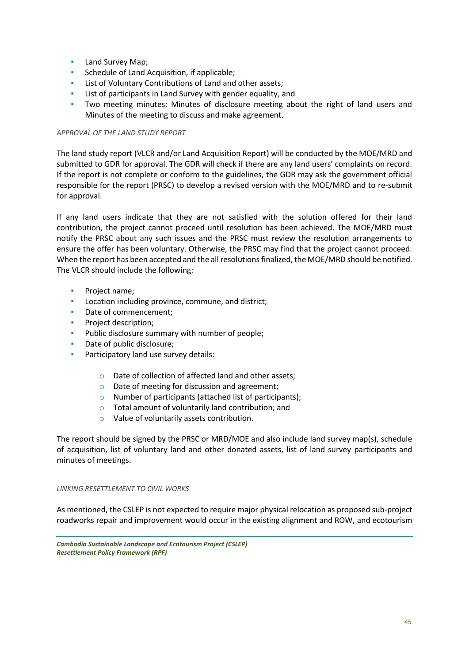- Land Survey Map;
- Schedule of Land Acquisition, if applicable;
- List of Voluntary Contributions of Land and other assets;
- List of participants in Land Survey with gender equality, and
- Two meeting minutes: Minutes of disclosure meeting about the right of land users and Minutes of the meeting to discuss and make agreement.

#### *APPROVAL OF THE LAND STUDY REPORT*

The land study report (VLCR and/or Land Acquisition Report) will be conducted by the MOE/MRD and submitted to GDR for approval. The GDR will check if there are any land users' complaints on record. If the report is not complete or conform to the guidelines, the GDR may ask the government official responsible for the report (PRSC) to develop a revised version with the MOE/MRD and to re-submit for approval.

If any land users indicate that they are not satisfied with the solution offered for their land contribution, the project cannot proceed until resolution has been achieved. The MOE/MRD must notify the PRSC about any such issues and the PRSC must review the resolution arrangements to ensure the offer has been voluntary. Otherwise, the PRSC may find that the project cannot proceed. When the report has been accepted and the all resolutions finalized, the MOE/MRD should be notified. The VLCR should include the following:

- Project name;
- Location including province, commune, and district;
- Date of commencement;
- Project description;
- Public disclosure summary with number of people;
- Date of public disclosure;
- Participatory land use survey details:
	- o Date of collection of affected land and other assets;
	- o Date of meeting for discussion and agreement;
	- o Number of participants (attached list of participants);
	- o Total amount of voluntarily land contribution; and
	- o Value of voluntarily assets contribution.

The report should be signed by the PRSC or MRD/MOE and also include land survey map(s), schedule of acquisition, list of voluntary land and other donated assets, list of land survey participants and minutes of meetings.

#### *LINKING RESETTLEMENT TO CIVIL WORKS*

As mentioned, the CSLEP is not expected to require major physical relocation as proposed sub-project roadworks repair and improvement would occur in the existing alignment and ROW, and ecotourism

*Cambodia Sustainable Landscape and Ecotourism Project (CSLEP) Resettlement Policy Framework (RPF)*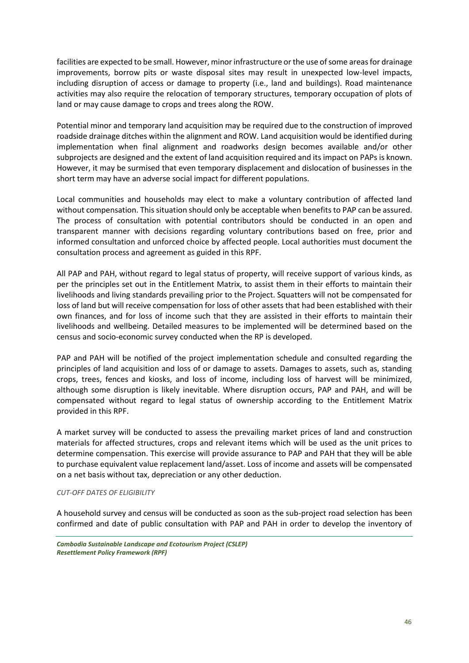facilities are expected to be small. However, minor infrastructure or the use of some areas for drainage improvements, borrow pits or waste disposal sites may result in unexpected low-level impacts, including disruption of access or damage to property (i.e., land and buildings). Road maintenance activities may also require the relocation of temporary structures, temporary occupation of plots of land or may cause damage to crops and trees along the ROW.

Potential minor and temporary land acquisition may be required due to the construction of improved roadside drainage ditches within the alignment and ROW. Land acquisition would be identified during implementation when final alignment and roadworks design becomes available and/or other subprojects are designed and the extent of land acquisition required and its impact on PAPs is known. However, it may be surmised that even temporary displacement and dislocation of businesses in the short term may have an adverse social impact for different populations.

Local communities and households may elect to make a voluntary contribution of affected land without compensation. This situation should only be acceptable when benefits to PAP can be assured. The process of consultation with potential contributors should be conducted in an open and transparent manner with decisions regarding voluntary contributions based on free, prior and informed consultation and unforced choice by affected people. Local authorities must document the consultation process and agreement as guided in this RPF.

All PAP and PAH, without regard to legal status of property, will receive support of various kinds, as per the principles set out in the Entitlement Matrix, to assist them in their efforts to maintain their livelihoods and living standards prevailing prior to the Project. Squatters will not be compensated for loss of land but will receive compensation for loss of other assets that had been established with their own finances, and for loss of income such that they are assisted in their efforts to maintain their livelihoods and wellbeing. Detailed measures to be implemented will be determined based on the census and socio-economic survey conducted when the RP is developed.

PAP and PAH will be notified of the project implementation schedule and consulted regarding the principles of land acquisition and loss of or damage to assets. Damages to assets, such as, standing crops, trees, fences and kiosks, and loss of income, including loss of harvest will be minimized, although some disruption is likely inevitable. Where disruption occurs, PAP and PAH, and will be compensated without regard to legal status of ownership according to the Entitlement Matrix provided in this RPF.

A market survey will be conducted to assess the prevailing market prices of land and construction materials for affected structures, crops and relevant items which will be used as the unit prices to determine compensation. This exercise will provide assurance to PAP and PAH that they will be able to purchase equivalent value replacement land/asset. Loss of income and assets will be compensated on a net basis without tax, depreciation or any other deduction.

#### *CUT-OFF DATES OF ELIGIBILITY*

A household survey and census will be conducted as soon as the sub-project road selection has been confirmed and date of public consultation with PAP and PAH in order to develop the inventory of

*Cambodia Sustainable Landscape and Ecotourism Project (CSLEP) Resettlement Policy Framework (RPF)*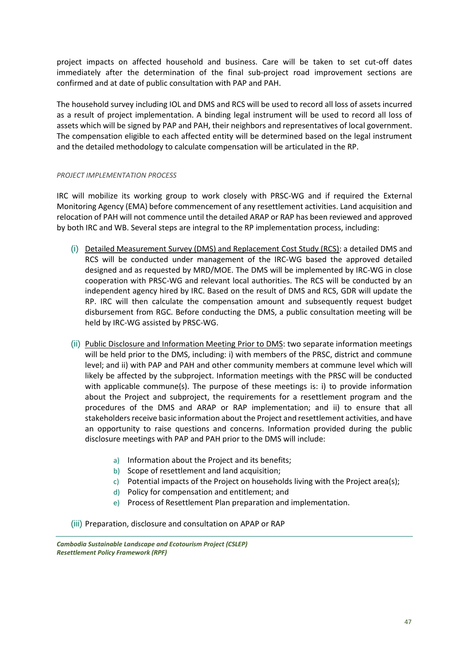project impacts on affected household and business. Care will be taken to set cut-off dates immediately after the determination of the final sub-project road improvement sections are confirmed and at date of public consultation with PAP and PAH.

The household survey including IOL and DMS and RCS will be used to record all loss of assets incurred as a result of project implementation. A binding legal instrument will be used to record all loss of assets which will be signed by PAP and PAH, their neighbors and representatives of local government. The compensation eligible to each affected entity will be determined based on the legal instrument and the detailed methodology to calculate compensation will be articulated in the RP.

#### *PROJECT IMPLEMENTATION PROCESS*

IRC will mobilize its working group to work closely with PRSC-WG and if required the External Monitoring Agency (EMA) before commencement of any resettlement activities. Land acquisition and relocation of PAH will not commence until the detailed ARAP or RAP has been reviewed and approved by both IRC and WB. Several steps are integral to the RP implementation process, including:

- (i) Detailed Measurement Survey (DMS) and Replacement Cost Study (RCS): a detailed DMS and RCS will be conducted under management of the IRC-WG based the approved detailed designed and as requested by MRD/MOE. The DMS will be implemented by IRC-WG in close cooperation with PRSC-WG and relevant local authorities. The RCS will be conducted by an independent agency hired by IRC. Based on the result of DMS and RCS, GDR will update the RP. IRC will then calculate the compensation amount and subsequently request budget disbursement from RGC. Before conducting the DMS, a public consultation meeting will be held by IRC-WG assisted by PRSC-WG.
- (ii) Public Disclosure and Information Meeting Prior to DMS: two separate information meetings will be held prior to the DMS, including: i) with members of the PRSC, district and commune level; and ii) with PAP and PAH and other community members at commune level which will likely be affected by the subproject. Information meetings with the PRSC will be conducted with applicable commune(s). The purpose of these meetings is: i) to provide information about the Project and subproject, the requirements for a resettlement program and the procedures of the DMS and ARAP or RAP implementation; and ii) to ensure that all stakeholders receive basic information about the Project and resettlement activities, and have an opportunity to raise questions and concerns. Information provided during the public disclosure meetings with PAP and PAH prior to the DMS will include:
	- a) Information about the Project and its benefits;
	- b) Scope of resettlement and land acquisition;
	- c) Potential impacts of the Project on households living with the Project area(s);
	- d) Policy for compensation and entitlement; and
	- e) Process of Resettlement Plan preparation and implementation.
- (iii) Preparation, disclosure and consultation on APAP or RAP

*Cambodia Sustainable Landscape and Ecotourism Project (CSLEP) Resettlement Policy Framework (RPF)*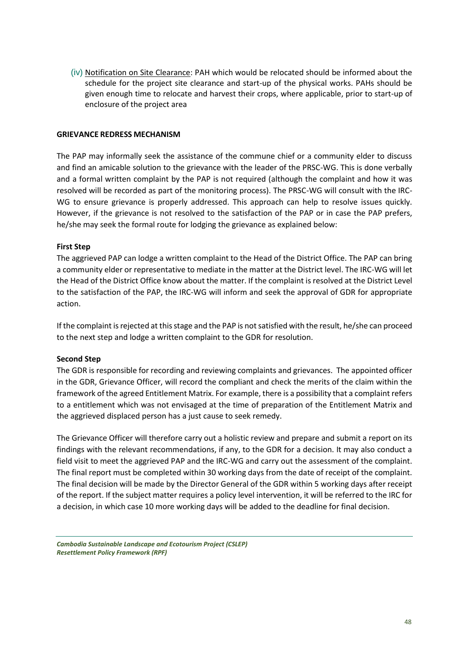(iv) Notification on Site Clearance: PAH which would be relocated should be informed about the schedule for the project site clearance and start-up of the physical works. PAHs should be given enough time to relocate and harvest their crops, where applicable, prior to start-up of enclosure of the project area

#### **GRIEVANCE REDRESS MECHANISM**

The PAP may informally seek the assistance of the commune chief or a community elder to discuss and find an amicable solution to the grievance with the leader of the PRSC-WG. This is done verbally and a formal written complaint by the PAP is not required (although the complaint and how it was resolved will be recorded as part of the monitoring process). The PRSC-WG will consult with the IRC-WG to ensure grievance is properly addressed. This approach can help to resolve issues quickly. However, if the grievance is not resolved to the satisfaction of the PAP or in case the PAP prefers, he/she may seek the formal route for lodging the grievance as explained below:

#### **First Step**

The aggrieved PAP can lodge a written complaint to the Head of the District Office. The PAP can bring a community elder or representative to mediate in the matter at the District level. The IRC-WG will let the Head of the District Office know about the matter. If the complaint is resolved at the District Level to the satisfaction of the PAP, the IRC-WG will inform and seek the approval of GDR for appropriate action.

If the complaint is rejected at this stage and the PAP is not satisfied with the result, he/she can proceed to the next step and lodge a written complaint to the GDR for resolution.

#### **Second Step**

The GDR is responsible for recording and reviewing complaints and grievances. The appointed officer in the GDR, Grievance Officer, will record the compliant and check the merits of the claim within the framework of the agreed Entitlement Matrix. For example, there is a possibility that a complaint refers to a entitlement which was not envisaged at the time of preparation of the Entitlement Matrix and the aggrieved displaced person has a just cause to seek remedy.

The Grievance Officer will therefore carry out a holistic review and prepare and submit a report on its findings with the relevant recommendations, if any, to the GDR for a decision. It may also conduct a field visit to meet the aggrieved PAP and the IRC-WG and carry out the assessment of the complaint. The final report must be completed within 30 working days from the date of receipt of the complaint. The final decision will be made by the Director General of the GDR within 5 working days after receipt of the report. If the subject matter requires a policy level intervention, it will be referred to the IRC for a decision, in which case 10 more working days will be added to the deadline for final decision.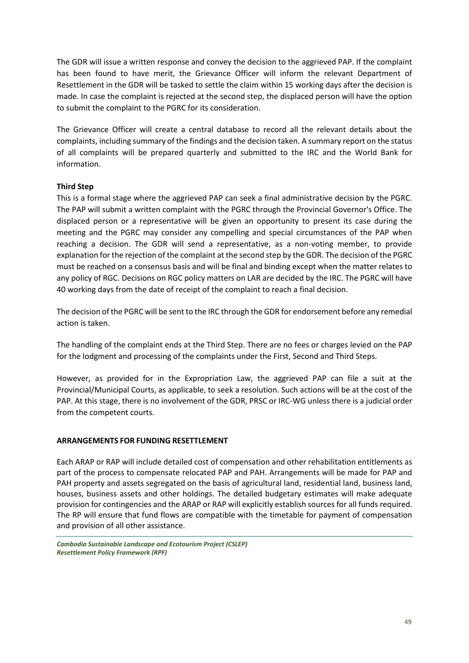The GDR will issue a written response and convey the decision to the aggrieved PAP. If the complaint has been found to have merit, the Grievance Officer will inform the relevant Department of Resettlement in the GDR will be tasked to settle the claim within 15 working days after the decision is made. In case the complaint is rejected at the second step, the displaced person will have the option to submit the complaint to the PGRC for its consideration.

The Grievance Officer will create a central database to record all the relevant details about the complaints, including summary of the findings and the decision taken. A summary report on the status of all complaints will be prepared quarterly and submitted to the IRC and the World Bank for information.

### **Third Step**

This is a formal stage where the aggrieved PAP can seek a final administrative decision by the PGRC. The PAP will submit a written complaint with the PGRC through the Provincial Governor's Office. The displaced person or a representative will be given an opportunity to present its case during the meeting and the PGRC may consider any compelling and special circumstances of the PAP when reaching a decision. The GDR will send a representative, as a non-voting member, to provide explanation for the rejection of the complaint at the second step by the GDR. The decision of the PGRC must be reached on a consensus basis and will be final and binding except when the matter relates to any policy of RGC. Decisions on RGC policy matters on LAR are decided by the IRC. The PGRC will have 40 working days from the date of receipt of the complaint to reach a final decision.

The decision of the PGRC will be sent to the IRC through the GDR for endorsement before any remedial action is taken.

The handling of the complaint ends at the Third Step. There are no fees or charges levied on the PAP for the lodgment and processing of the complaints under the First, Second and Third Steps.

However, as provided for in the Expropriation Law, the aggrieved PAP can file a suit at the Provincial/Municipal Courts, as applicable, to seek a resolution. Such actions will be at the cost of the PAP. At this stage, there is no involvement of the GDR, PRSC or IRC-WG unless there is a judicial order from the competent courts.

#### **ARRANGEMENTS FOR FUNDING RESETTLEMENT**

Each ARAP or RAP will include detailed cost of compensation and other rehabilitation entitlements as part of the process to compensate relocated PAP and PAH. Arrangements will be made for PAP and PAH property and assets segregated on the basis of agricultural land, residential land, business land, houses, business assets and other holdings. The detailed budgetary estimates will make adequate provision for contingencies and the ARAP or RAP will explicitly establish sources for all funds required. The RP will ensure that fund flows are compatible with the timetable for payment of compensation and provision of all other assistance.

*Cambodia Sustainable Landscape and Ecotourism Project (CSLEP) Resettlement Policy Framework (RPF)*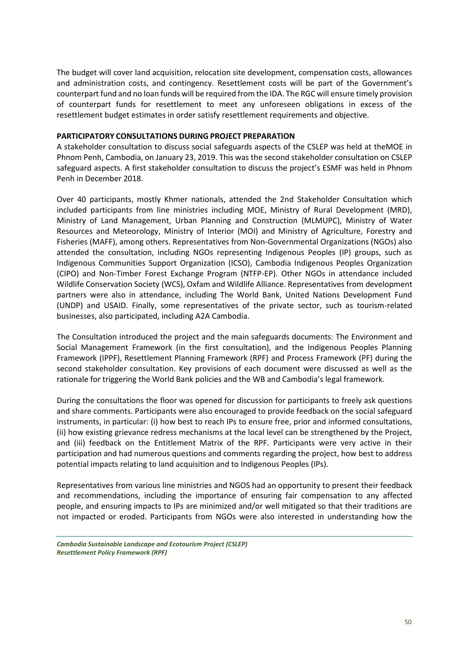The budget will cover land acquisition, relocation site development, compensation costs, allowances and administration costs, and contingency. Resettlement costs will be part of the Government's counterpart fund and no loan funds will be required from the IDA. The RGC will ensure timely provision of counterpart funds for resettlement to meet any unforeseen obligations in excess of the resettlement budget estimates in order satisfy resettlement requirements and objective.

#### **PARTICIPATORY CONSULTATIONS DURING PROJECT PREPARATION**

A stakeholder consultation to discuss social safeguards aspects of the CSLEP was held at theMOE in Phnom Penh, Cambodia, on January 23, 2019. This was the second stakeholder consultation on CSLEP safeguard aspects. A first stakeholder consultation to discuss the project's ESMF was held in Phnom Penh in December 2018.

Over 40 participants, mostly Khmer nationals, attended the 2nd Stakeholder Consultation which included participants from line ministries including MOE, Ministry of Rural Development (MRD), Ministry of Land Management, Urban Planning and Construction (MLMUPC), Ministry of Water Resources and Meteorology, Ministry of Interior (MOI) and Ministry of Agriculture, Forestry and Fisheries (MAFF), among others. Representatives from Non‐Governmental Organizations (NGOs) also attended the consultation, including NGOs representing Indigenous Peoples (IP) groups, such as Indigenous Communities Support Organization (ICSO), Cambodia Indigenous Peoples Organization (CIPO) and Non‐Timber Forest Exchange Program (NTFP‐EP). Other NGOs in attendance included Wildlife Conservation Society (WCS), Oxfam and Wildlife Alliance. Representatives from development partners were also in attendance, including The World Bank, United Nations Development Fund (UNDP) and USAID. Finally, some representatives of the private sector, such as tourism‐related businesses, also participated, including A2A Cambodia.

The Consultation introduced the project and the main safeguards documents: The Environment and Social Management Framework (in the first consultation), and the Indigenous Peoples Planning Framework (IPPF), Resettlement Planning Framework (RPF) and Process Framework (PF) during the second stakeholder consultation. Key provisions of each document were discussed as well as the rationale for triggering the World Bank policies and the WB and Cambodia's legal framework.

During the consultations the floor was opened for discussion for participants to freely ask questions and share comments. Participants were also encouraged to provide feedback on the social safeguard instruments, in particular: (i) how best to reach IPs to ensure free, prior and informed consultations, (ii) how existing grievance redress mechanisms at the local level can be strengthened by the Project, and (iii) feedback on the Entitlement Matrix of the RPF. Participants were very active in their participation and had numerous questions and comments regarding the project, how best to address potential impacts relating to land acquisition and to Indigenous Peoples (IPs).

Representatives from various line ministries and NGOS had an opportunity to present their feedback and recommendations, including the importance of ensuring fair compensation to any affected people, and ensuring impacts to IPs are minimized and/or well mitigated so that their traditions are not impacted or eroded. Participants from NGOs were also interested in understanding how the

*Cambodia Sustainable Landscape and Ecotourism Project (CSLEP) Resettlement Policy Framework (RPF)*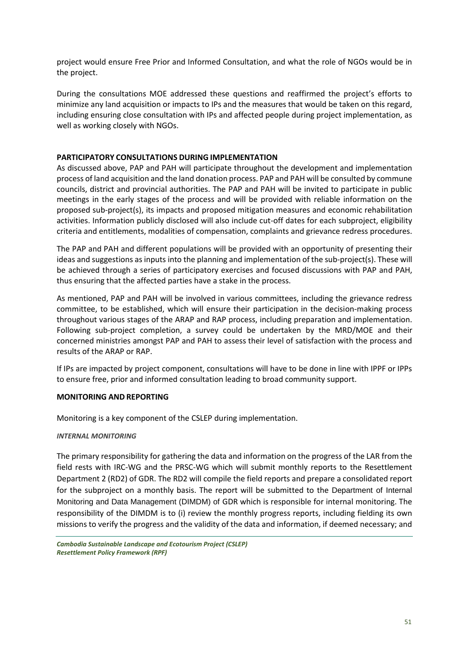project would ensure Free Prior and Informed Consultation, and what the role of NGOs would be in the project.

During the consultations MOE addressed these questions and reaffirmed the project's efforts to minimize any land acquisition or impacts to IPs and the measures that would be taken on this regard, including ensuring close consultation with IPs and affected people during project implementation, as well as working closely with NGOs.

#### **PARTICIPATORY CONSULTATIONS DURING IMPLEMENTATION**

As discussed above, PAP and PAH will participate throughout the development and implementation process of land acquisition and the land donation process. PAP and PAH will be consulted by commune councils, district and provincial authorities. The PAP and PAH will be invited to participate in public meetings in the early stages of the process and will be provided with reliable information on the proposed sub-project(s), its impacts and proposed mitigation measures and economic rehabilitation activities. Information publicly disclosed will also include cut-off dates for each subproject, eligibility criteria and entitlements, modalities of compensation, complaints and grievance redress procedures.

The PAP and PAH and different populations will be provided with an opportunity of presenting their ideas and suggestions as inputs into the planning and implementation of the sub-project(s). These will be achieved through a series of participatory exercises and focused discussions with PAP and PAH, thus ensuring that the affected parties have a stake in the process.

As mentioned, PAP and PAH will be involved in various committees, including the grievance redress committee, to be established, which will ensure their participation in the decision-making process throughout various stages of the ARAP and RAP process, including preparation and implementation. Following sub-project completion, a survey could be undertaken by the MRD/MOE and their concerned ministries amongst PAP and PAH to assess their level of satisfaction with the process and results of the ARAP or RAP.

If IPs are impacted by project component, consultations will have to be done in line with IPPF or IPPs to ensure free, prior and informed consultation leading to broad community support.

#### **MONITORING AND REPORTING**

Monitoring is a key component of the CSLEP during implementation.

#### *INTERNAL MONITORING*

The primary responsibility for gathering the data and information on the progress of the LAR from the field rests with IRC-WG and the PRSC-WG which will submit monthly reports to the Resettlement Department 2 (RD2) of GDR. The RD2 will compile the field reports and prepare a consolidated report for the subproject on a monthly basis. The report will be submitted to the Department of Internal Monitoring and Data Management (DIMDM) of GDR which is responsible for internal monitoring. The responsibility of the DIMDM is to (i) review the monthly progress reports, including fielding its own missions to verify the progress and the validity of the data and information, if deemed necessary; and

*Cambodia Sustainable Landscape and Ecotourism Project (CSLEP) Resettlement Policy Framework (RPF)*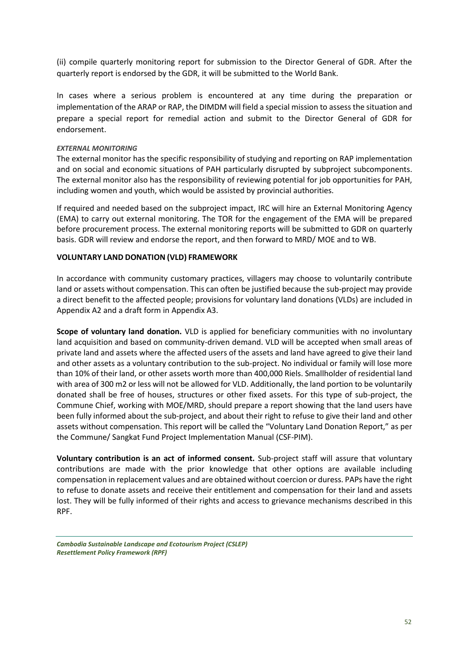(ii) compile quarterly monitoring report for submission to the Director General of GDR. After the quarterly report is endorsed by the GDR, it will be submitted to the World Bank.

In cases where a serious problem is encountered at any time during the preparation or implementation of the ARAP or RAP, the DIMDM will field a special mission to assess the situation and prepare a special report for remedial action and submit to the Director General of GDR for endorsement.

#### *EXTERNAL MONITORING*

The external monitor has the specific responsibility of studying and reporting on RAP implementation and on social and economic situations of PAH particularly disrupted by subproject subcomponents. The external monitor also has the responsibility of reviewing potential for job opportunities for PAH, including women and youth, which would be assisted by provincial authorities.

If required and needed based on the subproject impact, IRC will hire an External Monitoring Agency (EMA) to carry out external monitoring. The TOR for the engagement of the EMA will be prepared before procurement process. The external monitoring reports will be submitted to GDR on quarterly basis. GDR will review and endorse the report, and then forward to MRD/ MOE and to WB.

#### **VOLUNTARY LAND DONATION (VLD) FRAMEWORK**

In accordance with community customary practices, villagers may choose to voluntarily contribute land or assets without compensation. This can often be justified because the sub-project may provide a direct benefit to the affected people; provisions for voluntary land donations (VLDs) are included in Appendix A2 and a draft form in Appendix A3.

**Scope of voluntary land donation.** VLD is applied for beneficiary communities with no involuntary land acquisition and based on community-driven demand. VLD will be accepted when small areas of private land and assets where the affected users of the assets and land have agreed to give their land and other assets as a voluntary contribution to the sub-project. No individual or family will lose more than 10% of their land, or other assets worth more than 400,000 Riels. Smallholder of residential land with area of 300 m2 or less will not be allowed for VLD. Additionally, the land portion to be voluntarily donated shall be free of houses, structures or other fixed assets. For this type of sub-project, the Commune Chief, working with MOE/MRD, should prepare a report showing that the land users have been fully informed about the sub-project, and about their right to refuse to give their land and other assets without compensation. This report will be called the "Voluntary Land Donation Report," as per the Commune/ Sangkat Fund Project Implementation Manual (CSF-PIM).

**Voluntary contribution is an act of informed consent.** Sub-project staff will assure that voluntary contributions are made with the prior knowledge that other options are available including compensation in replacement values and are obtained without coercion or duress. PAPs have the right to refuse to donate assets and receive their entitlement and compensation for their land and assets lost. They will be fully informed of their rights and access to grievance mechanisms described in this RPF.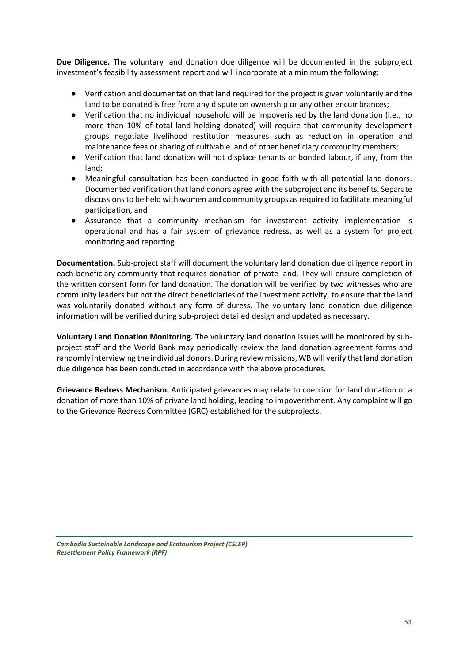**Due Diligence.** The voluntary land donation due diligence will be documented in the subproject investment's feasibility assessment report and will incorporate at a minimum the following:

- Verification and documentation that land required for the project is given voluntarily and the land to be donated is free from any dispute on ownership or any other encumbrances;
- Verification that no individual household will be impoverished by the land donation (i.e., no more than 10% of total land holding donated) will require that community development groups negotiate livelihood restitution measures such as reduction in operation and maintenance fees or sharing of cultivable land of other beneficiary community members;
- Verification that land donation will not displace tenants or bonded labour, if any, from the land;
- Meaningful consultation has been conducted in good faith with all potential land donors. Documented verification that land donors agree with the subproject and its benefits. Separate discussions to be held with women and community groups as required to facilitate meaningful participation, and
- Assurance that a community mechanism for investment activity implementation is operational and has a fair system of grievance redress, as well as a system for project monitoring and reporting.

**Documentation.** Sub-project staff will document the voluntary land donation due diligence report in each beneficiary community that requires donation of private land. They will ensure completion of the written consent form for land donation. The donation will be verified by two witnesses who are community leaders but not the direct beneficiaries of the investment activity, to ensure that the land was voluntarily donated without any form of duress. The voluntary land donation due diligence information will be verified during sub-project detailed design and updated as necessary.

**Voluntary Land Donation Monitoring.** The voluntary land donation issues will be monitored by subproject staff and the World Bank may periodically review the land donation agreement forms and randomly interviewing the individual donors. During review missions, WB will verify that land donation due diligence has been conducted in accordance with the above procedures.

**Grievance Redress Mechanism.** Anticipated grievances may relate to coercion for land donation or a donation of more than 10% of private land holding, leading to impoverishment. Any complaint will go to the Grievance Redress Committee (GRC) established for the subprojects.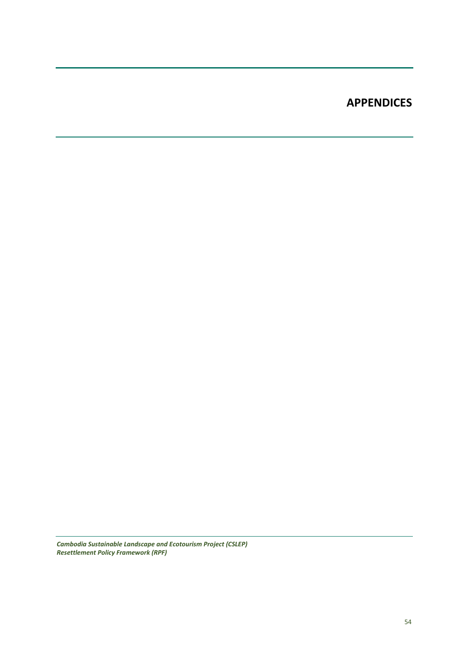# **APPENDICES**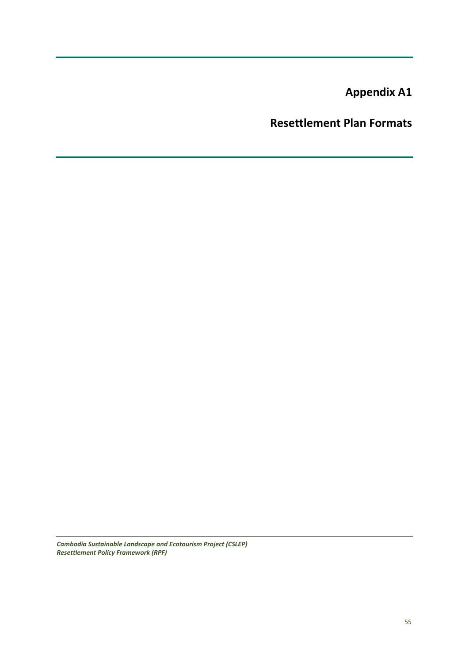**Appendix A1**

**Resettlement Plan Formats**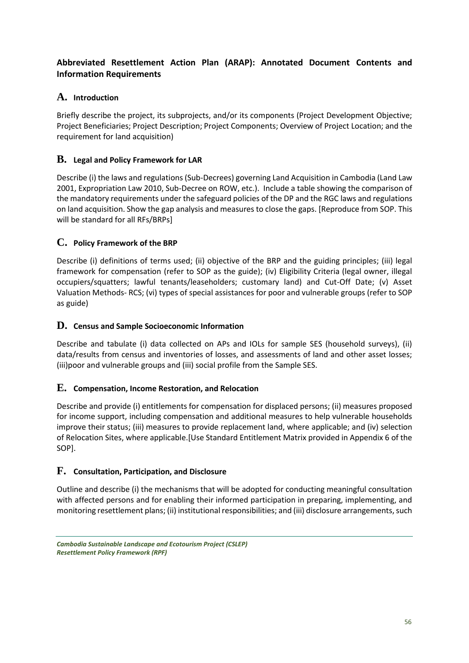# **Abbreviated Resettlement Action Plan (ARAP): Annotated Document Contents and Information Requirements**

# **A. Introduction**

Briefly describe the project, its subprojects, and/or its components (Project Development Objective; Project Beneficiaries; Project Description; Project Components; Overview of Project Location; and the requirement for land acquisition)

# **B. Legal and Policy Framework for LAR**

Describe (i) the laws and regulations (Sub-Decrees) governing Land Acquisition in Cambodia (Land Law 2001, Expropriation Law 2010, Sub-Decree on ROW, etc.). Include a table showing the comparison of the mandatory requirements under the safeguard policies of the DP and the RGC laws and regulations on land acquisition. Show the gap analysis and measures to close the gaps. [Reproduce from SOP. This will be standard for all RFs/BRPs]

# **C. Policy Framework of the BRP**

Describe (i) definitions of terms used; (ii) objective of the BRP and the guiding principles; (iii) legal framework for compensation (refer to SOP as the guide); (iv) Eligibility Criteria (legal owner, illegal occupiers/squatters; lawful tenants/leaseholders; customary land) and Cut-Off Date; (v) Asset Valuation Methods- RCS; (vi) types of special assistances for poor and vulnerable groups (refer to SOP as guide)

### **D. Census and Sample Socioeconomic Information**

Describe and tabulate (i) data collected on APs and IOLs for sample SES (household surveys), (ii) data/results from census and inventories of losses, and assessments of land and other asset losses; (iii)poor and vulnerable groups and (iii) social profile from the Sample SES.

### **E. Compensation, Income Restoration, and Relocation**

Describe and provide (i) entitlements for compensation for displaced persons; (ii) measures proposed for income support, including compensation and additional measures to help vulnerable households improve their status; (iii) measures to provide replacement land, where applicable; and (iv) selection of Relocation Sites, where applicable.[Use Standard Entitlement Matrix provided in Appendix 6 of the SOP].

# **F. Consultation, Participation, and Disclosure**

Outline and describe (i) the mechanisms that will be adopted for conducting meaningful consultation with affected persons and for enabling their informed participation in preparing, implementing, and monitoring resettlement plans; (ii) institutional responsibilities; and (iii) disclosure arrangements, such

*Cambodia Sustainable Landscape and Ecotourism Project (CSLEP) Resettlement Policy Framework (RPF)*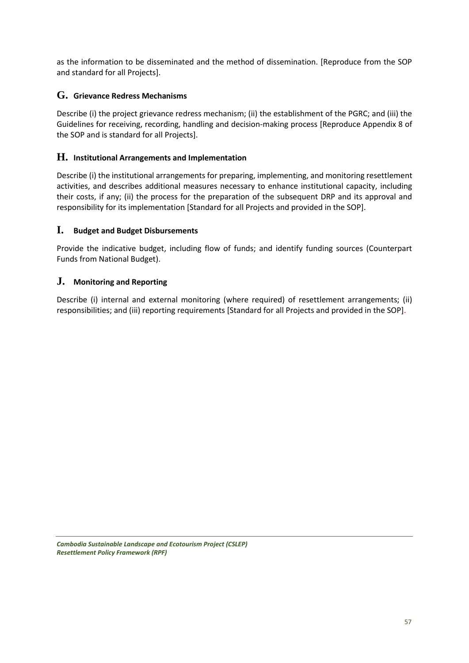as the information to be disseminated and the method of dissemination. [Reproduce from the SOP and standard for all Projects].

# **G. Grievance Redress Mechanisms**

Describe (i) the project grievance redress mechanism; (ii) the establishment of the PGRC; and (iii) the Guidelines for receiving, recording, handling and decision-making process [Reproduce Appendix 8 of the SOP and is standard for all Projects].

# **H. Institutional Arrangements and Implementation**

Describe (i) the institutional arrangements for preparing, implementing, and monitoring resettlement activities, and describes additional measures necessary to enhance institutional capacity, including their costs, if any; (ii) the process for the preparation of the subsequent DRP and its approval and responsibility for its implementation [Standard for all Projects and provided in the SOP].

### **I. Budget and Budget Disbursements**

Provide the indicative budget, including flow of funds; and identify funding sources (Counterpart Funds from National Budget).

# **J. Monitoring and Reporting**

Describe (i) internal and external monitoring (where required) of resettlement arrangements; (ii) responsibilities; and (iii) reporting requirements [Standard for all Projects and provided in the SOP].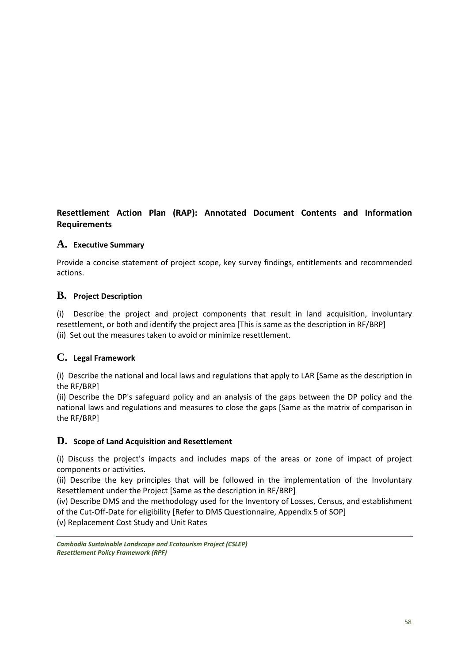# **Resettlement Action Plan (RAP): Annotated Document Contents and Information Requirements**

# **A. Executive Summary**

Provide a concise statement of project scope, key survey findings, entitlements and recommended actions.

# **B. Project Description**

(i) Describe the project and project components that result in land acquisition, involuntary resettlement, or both and identify the project area [This is same as the description in RF/BRP] (ii) Set out the measures taken to avoid or minimize resettlement.

# **C. Legal Framework**

(i) Describe the national and local laws and regulations that apply to LAR [Same as the description in the RF/BRP]

(ii) Describe the DP's safeguard policy and an analysis of the gaps between the DP policy and the national laws and regulations and measures to close the gaps [Same as the matrix of comparison in the RF/BRP]

# **D. Scope of Land Acquisition and Resettlement**

(i) Discuss the project's impacts and includes maps of the areas or zone of impact of project components or activities.

(ii) Describe the key principles that will be followed in the implementation of the Involuntary Resettlement under the Project [Same as the description in RF/BRP]

(iv) Describe DMS and the methodology used for the Inventory of Losses, Census, and establishment of the Cut-Off-Date for eligibility [Refer to DMS Questionnaire, Appendix 5 of SOP]

(v) Replacement Cost Study and Unit Rates

*Cambodia Sustainable Landscape and Ecotourism Project (CSLEP) Resettlement Policy Framework (RPF)*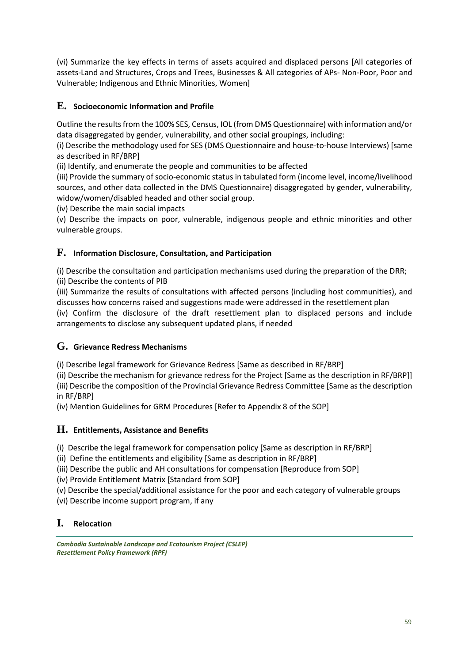(vi) Summarize the key effects in terms of assets acquired and displaced persons [All categories of assets-Land and Structures, Crops and Trees, Businesses & All categories of APs- Non-Poor, Poor and Vulnerable; Indigenous and Ethnic Minorities, Women]

# **E. Socioeconomic Information and Profile**

Outline the results from the 100% SES, Census, IOL (from DMS Questionnaire) with information and/or data disaggregated by gender, vulnerability, and other social groupings, including:

(i) Describe the methodology used for SES (DMS Questionnaire and house-to-house Interviews) [same as described in RF/BRP]

(ii) Identify, and enumerate the people and communities to be affected

(iii) Provide the summary of socio-economic status in tabulated form (income level, income/livelihood sources, and other data collected in the DMS Questionnaire) disaggregated by gender, vulnerability, widow/women/disabled headed and other social group.

(iv) Describe the main social impacts

(v) Describe the impacts on poor, vulnerable, indigenous people and ethnic minorities and other vulnerable groups.

# **F. Information Disclosure, Consultation, and Participation**

(i) Describe the consultation and participation mechanisms used during the preparation of the DRR; (ii) Describe the contents of PIB

(iii) Summarize the results of consultations with affected persons (including host communities), and discusses how concerns raised and suggestions made were addressed in the resettlement plan

(iv) Confirm the disclosure of the draft resettlement plan to displaced persons and include arrangements to disclose any subsequent updated plans, if needed

# **G. Grievance Redress Mechanisms**

(i) Describe legal framework for Grievance Redress [Same as described in RF/BRP]

(ii) Describe the mechanism for grievance redress for the Project [Same as the description in RF/BRP]] (iii) Describe the composition of the Provincial Grievance Redress Committee [Same as the description in RF/BRP]

(iv) Mention Guidelines for GRM Procedures [Refer to Appendix 8 of the SOP]

# **H. Entitlements, Assistance and Benefits**

(i) Describe the legal framework for compensation policy [Same as description in RF/BRP]

(ii) Define the entitlements and eligibility [Same as description in RF/BRP]

(iii) Describe the public and AH consultations for compensation [Reproduce from SOP]

(iv) Provide Entitlement Matrix [Standard from SOP]

(v) Describe the special/additional assistance for the poor and each category of vulnerable groups

(vi) Describe income support program, if any

# **I. Relocation**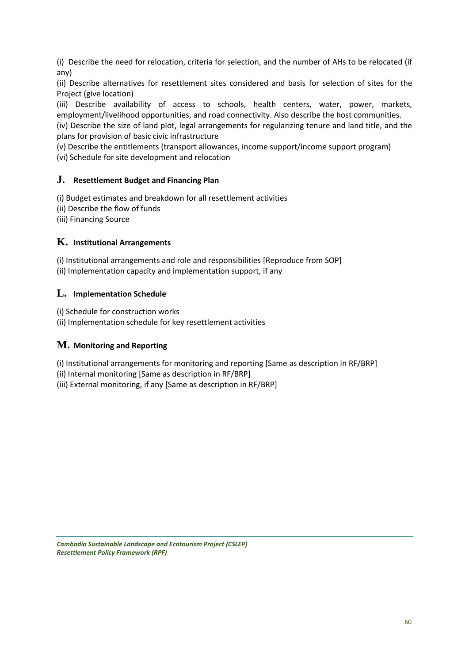(i) Describe the need for relocation, criteria for selection, and the number of AHs to be relocated (if any)

(ii) Describe alternatives for resettlement sites considered and basis for selection of sites for the Project (give location)

(iii) Describe availability of access to schools, health centers, water, power, markets, employment/livelihood opportunities, and road connectivity. Also describe the host communities.

(iv) Describe the size of land plot, legal arrangements for regularizing tenure and land title, and the plans for provision of basic civic infrastructure

(v) Describe the entitlements (transport allowances, income support/income support program)

(vi) Schedule for site development and relocation

# **J. Resettlement Budget and Financing Plan**

(i) Budget estimates and breakdown for all resettlement activities

- (ii) Describe the flow of funds
- (iii) Financing Source

# **K. Institutional Arrangements**

(i) Institutional arrangements and role and responsibilities [Reproduce from SOP] (ii) Implementation capacity and implementation support, if any

# **L. Implementation Schedule**

(i) Schedule for construction works

(ii) Implementation schedule for key resettlement activities

# **M. Monitoring and Reporting**

(i) Institutional arrangements for monitoring and reporting [Same as description in RF/BRP]

(ii) Internal monitoring [Same as description in RF/BRP]

(iii) External monitoring, if any [Same as description in RF/BRP]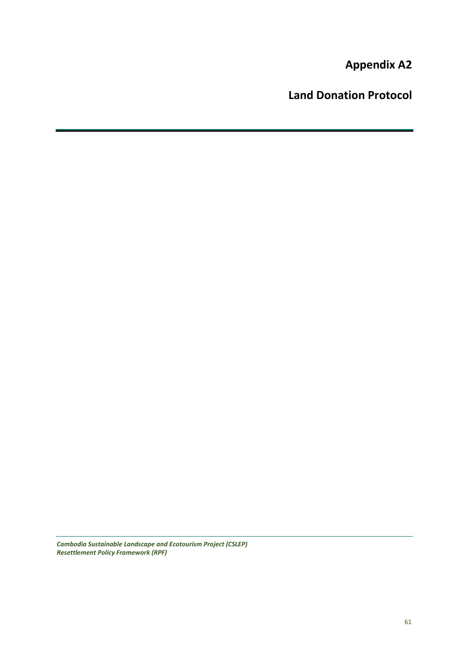**Appendix A2**

**Land Donation Protocol**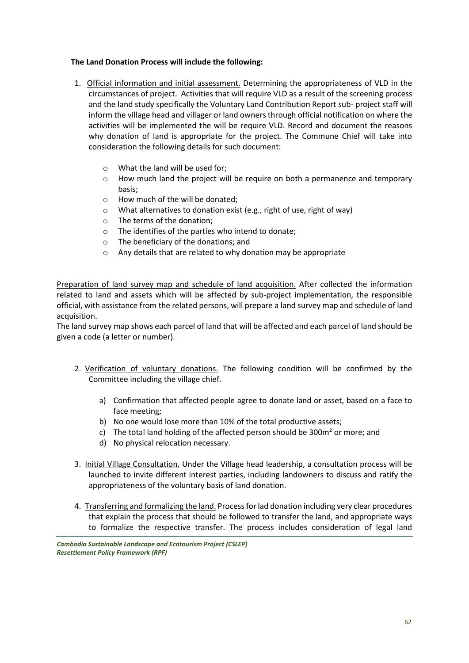#### **The Land Donation Process will include the following:**

- 1. Official information and initial assessment. Determining the appropriateness of VLD in the circumstances of project. Activities that will require VLD as a result of the screening process and the land study specifically the Voluntary Land Contribution Report sub- project staff will inform the village head and villager or land owners through official notification on where the activities will be implemented the will be require VLD. Record and document the reasons why donation of land is appropriate for the project. The Commune Chief will take into consideration the following details for such document:
	- o What the land will be used for;
	- $\circ$  How much land the project will be require on both a permanence and temporary basis;
	- o How much of the will be donated;
	- o What alternatives to donation exist (e.g., right of use, right of way)
	- o The terms of the donation;
	- o The identifies of the parties who intend to donate;
	- o The beneficiary of the donations; and
	- o Any details that are related to why donation may be appropriate

Preparation of land survey map and schedule of land acquisition. After collected the information related to land and assets which will be affected by sub-project implementation, the responsible official, with assistance from the related persons, will prepare a land survey map and schedule of land acquisition.

The land survey map shows each parcel of land that will be affected and each parcel of land should be given a code (a letter or number).

- 2. Verification of voluntary donations. The following condition will be confirmed by the Committee including the village chief.
	- a) Confirmation that affected people agree to donate land or asset, based on a face to face meeting;
	- b) No one would lose more than 10% of the total productive assets;
	- c) The total land holding of the affected person should be 300m² or more; and
	- d) No physical relocation necessary.
- 3. Initial Village Consultation. Under the Village head leadership, a consultation process will be launched to invite different interest parties, including landowners to discuss and ratify the appropriateness of the voluntary basis of land donation.
- 4. Transferring and formalizing the land. Process for lad donation including very clear procedures that explain the process that should be followed to transfer the land, and appropriate ways to formalize the respective transfer. The process includes consideration of legal land

*Cambodia Sustainable Landscape and Ecotourism Project (CSLEP) Resettlement Policy Framework (RPF)*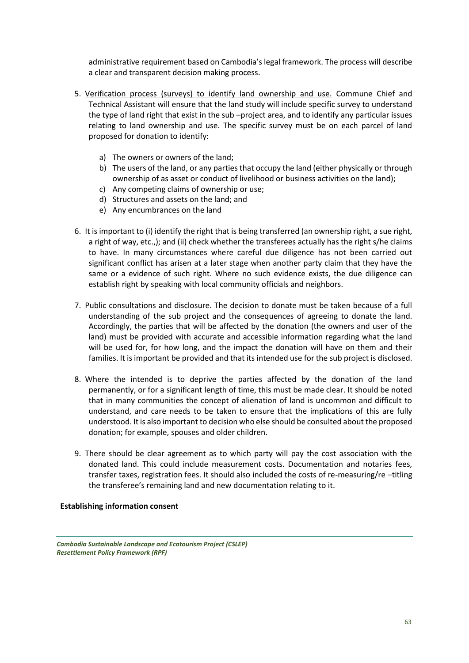administrative requirement based on Cambodia's legal framework. The process will describe a clear and transparent decision making process.

- 5. Verification process (surveys) to identify land ownership and use. Commune Chief and Technical Assistant will ensure that the land study will include specific survey to understand the type of land right that exist in the sub –project area, and to identify any particular issues relating to land ownership and use. The specific survey must be on each parcel of land proposed for donation to identify:
	- a) The owners or owners of the land;
	- b) The users of the land, or any parties that occupy the land (either physically or through ownership of as asset or conduct of livelihood or business activities on the land);
	- c) Any competing claims of ownership or use;
	- d) Structures and assets on the land; and
	- e) Any encumbrances on the land
- 6. It is important to (i) identify the right that is being transferred (an ownership right, a sue right, a right of way, etc.,); and (ii) check whether the transferees actually has the right s/he claims to have. In many circumstances where careful due diligence has not been carried out significant conflict has arisen at a later stage when another party claim that they have the same or a evidence of such right. Where no such evidence exists, the due diligence can establish right by speaking with local community officials and neighbors.
- 7. Public consultations and disclosure. The decision to donate must be taken because of a full understanding of the sub project and the consequences of agreeing to donate the land. Accordingly, the parties that will be affected by the donation (the owners and user of the land) must be provided with accurate and accessible information regarding what the land will be used for, for how long, and the impact the donation will have on them and their families. It is important be provided and that its intended use for the sub project is disclosed.
- 8. Where the intended is to deprive the parties affected by the donation of the land permanently, or for a significant length of time, this must be made clear. It should be noted that in many communities the concept of alienation of land is uncommon and difficult to understand, and care needs to be taken to ensure that the implications of this are fully understood. It is also important to decision who else should be consulted about the proposed donation; for example, spouses and older children.
- 9. There should be clear agreement as to which party will pay the cost association with the donated land. This could include measurement costs. Documentation and notaries fees, transfer taxes, registration fees. It should also included the costs of re-measuring/re –titling the transferee's remaining land and new documentation relating to it.

**Establishing information consent**

*Cambodia Sustainable Landscape and Ecotourism Project (CSLEP) Resettlement Policy Framework (RPF)*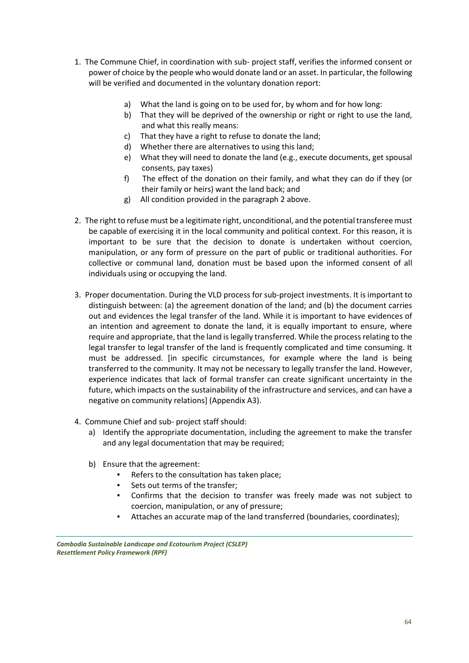- 1. The Commune Chief, in coordination with sub- project staff, verifies the informed consent or power of choice by the people who would donate land or an asset. In particular, the following will be verified and documented in the voluntary donation report:
	- a) What the land is going on to be used for, by whom and for how long:
	- b) That they will be deprived of the ownership or right or right to use the land, and what this really means:
	- c) That they have a right to refuse to donate the land;
	- d) Whether there are alternatives to using this land;
	- e) What they will need to donate the land (e.g., execute documents, get spousal consents, pay taxes)
	- f) The effect of the donation on their family, and what they can do if they (or their family or heirs) want the land back; and
	- g) All condition provided in the paragraph 2 above.
- 2. The right to refuse must be a legitimate right, unconditional, and the potential transferee must be capable of exercising it in the local community and political context. For this reason, it is important to be sure that the decision to donate is undertaken without coercion, manipulation, or any form of pressure on the part of public or traditional authorities. For collective or communal land, donation must be based upon the informed consent of all individuals using or occupying the land.
- 3. Proper documentation. During the VLD process for sub-project investments. It is important to distinguish between: (a) the agreement donation of the land; and (b) the document carries out and evidences the legal transfer of the land. While it is important to have evidences of an intention and agreement to donate the land, it is equally important to ensure, where require and appropriate, that the land is legally transferred. While the process relating to the legal transfer to legal transfer of the land is frequently complicated and time consuming. It must be addressed. [in specific circumstances, for example where the land is being transferred to the community. It may not be necessary to legally transfer the land. However, experience indicates that lack of formal transfer can create significant uncertainty in the future, which impacts on the sustainability of the infrastructure and services, and can have a negative on community relations] (Appendix A3).
- 4. Commune Chief and sub- project staff should:
	- a) Identify the appropriate documentation, including the agreement to make the transfer and any legal documentation that may be required;
	- b) Ensure that the agreement:
		- Refers to the consultation has taken place;
		- Sets out terms of the transfer;
		- Confirms that the decision to transfer was freely made was not subject to coercion, manipulation, or any of pressure;
		- Attaches an accurate map of the land transferred (boundaries, coordinates);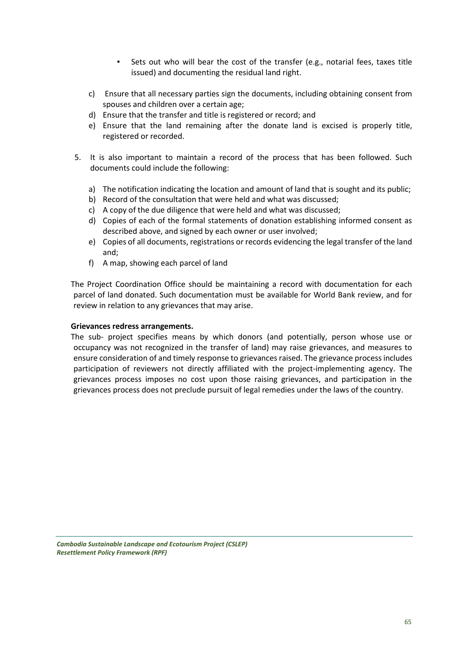- Sets out who will bear the cost of the transfer (e.g., notarial fees, taxes title issued) and documenting the residual land right.
- c) Ensure that all necessary parties sign the documents, including obtaining consent from spouses and children over a certain age;
- d) Ensure that the transfer and title is registered or record; and
- e) Ensure that the land remaining after the donate land is excised is properly title, registered or recorded.
- 5. It is also important to maintain a record of the process that has been followed. Such documents could include the following:
	- a) The notification indicating the location and amount of land that is sought and its public;
	- b) Record of the consultation that were held and what was discussed;
	- c) A copy of the due diligence that were held and what was discussed;
	- d) Copies of each of the formal statements of donation establishing informed consent as described above, and signed by each owner or user involved;
	- e) Copies of all documents, registrations or records evidencing the legal transfer of the land and;
	- f) A map, showing each parcel of land

The Project Coordination Office should be maintaining a record with documentation for each parcel of land donated. Such documentation must be available for World Bank review, and for review in relation to any grievances that may arise.

#### **Grievances redress arrangements.**

The sub- project specifies means by which donors (and potentially, person whose use or occupancy was not recognized in the transfer of land) may raise grievances, and measures to ensure consideration of and timely response to grievances raised. The grievance process includes participation of reviewers not directly affiliated with the project-implementing agency. The grievances process imposes no cost upon those raising grievances, and participation in the grievances process does not preclude pursuit of legal remedies under the laws of the country.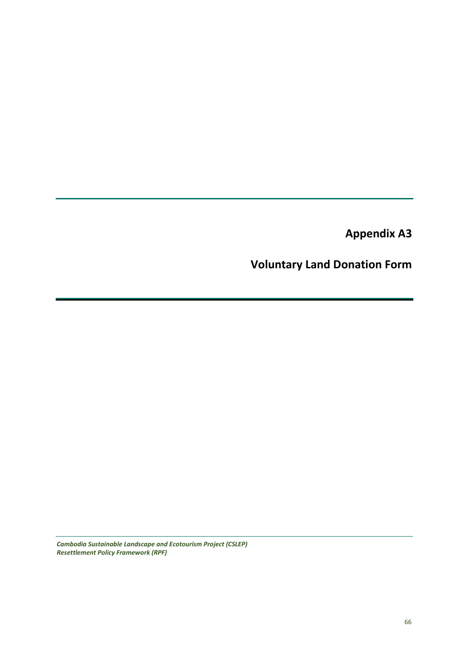**Appendix A3**

# **Voluntary Land Donation Form**